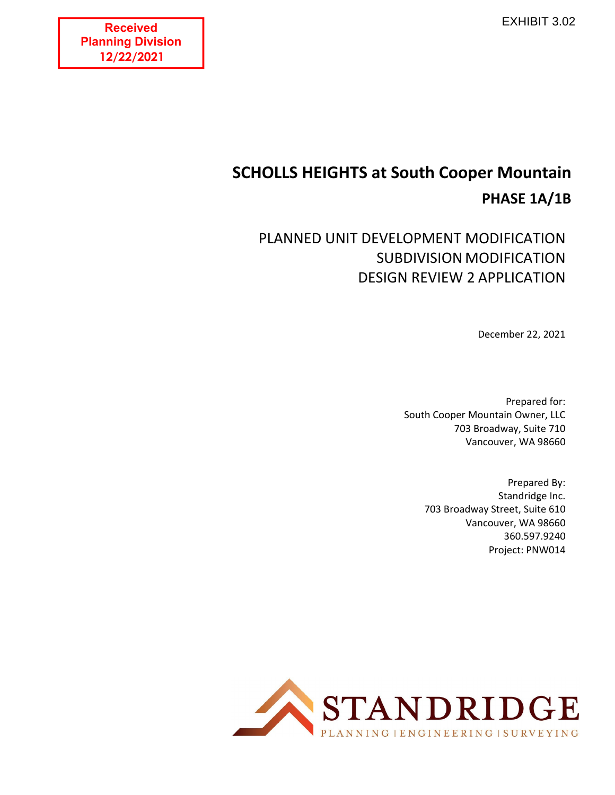**Received Planning Division 12/22/2021**

# **SCHOLLS HEIGHTS at South Cooper Mountain PHASE 1A/1B**

## PLANNED UNIT DEVELOPMENT MODIFICATION SUBDIVISION MODIFICATION DESIGN REVIEW 2 APPLICATION

December 22, 2021

Prepared for: South Cooper Mountain Owner, LLC 703 Broadway, Suite 710 Vancouver, WA 98660

> Prepared By: Standridge Inc. 703 Broadway Street, Suite 610 Vancouver, WA 98660 360.597.9240 Project: PNW014

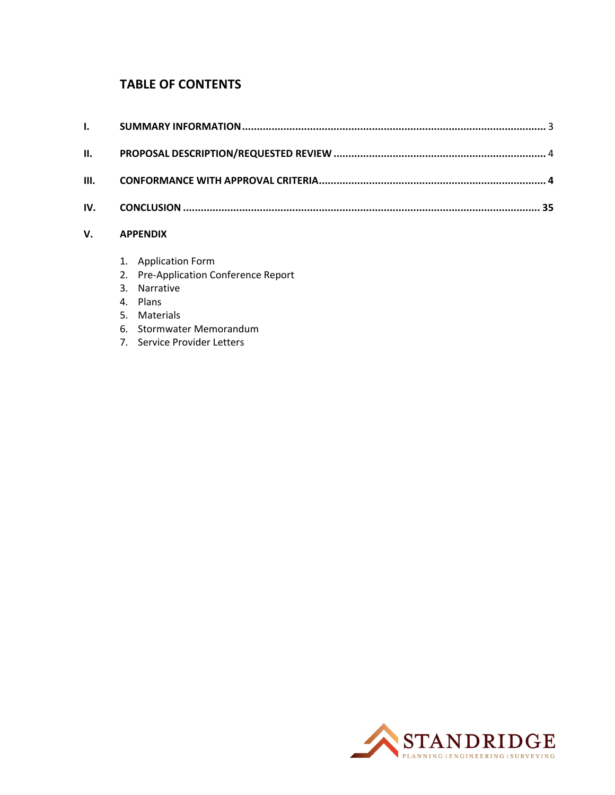## **TABLE OF CONTENTS**

| $\mathbf{v}$ $\mathbf{v}$ $\mathbf{v}$ $\mathbf{v}$ $\mathbf{v}$ $\mathbf{v}$ $\mathbf{v}$ $\mathbf{v}$ $\mathbf{v}$ $\mathbf{v}$ $\mathbf{v}$ $\mathbf{v}$ $\mathbf{v}$ $\mathbf{v}$ $\mathbf{v}$ $\mathbf{v}$ $\mathbf{v}$ $\mathbf{v}$ $\mathbf{v}$ $\mathbf{v}$ $\mathbf{v}$ $\mathbf{v}$ $\mathbf{v}$ $\mathbf{v}$ $\mathbf{$ |  |
|------------------------------------------------------------------------------------------------------------------------------------------------------------------------------------------------------------------------------------------------------------------------------------------------------------------------------------|--|

## **V. APPENDIX**

- 1. Application Form
- 2. Pre‐Application Conference Report
- 3. Narrative
- 4. Plans
- 5. Materials
- 6. Stormwater Memorandum
- 7. Service Provider Letters

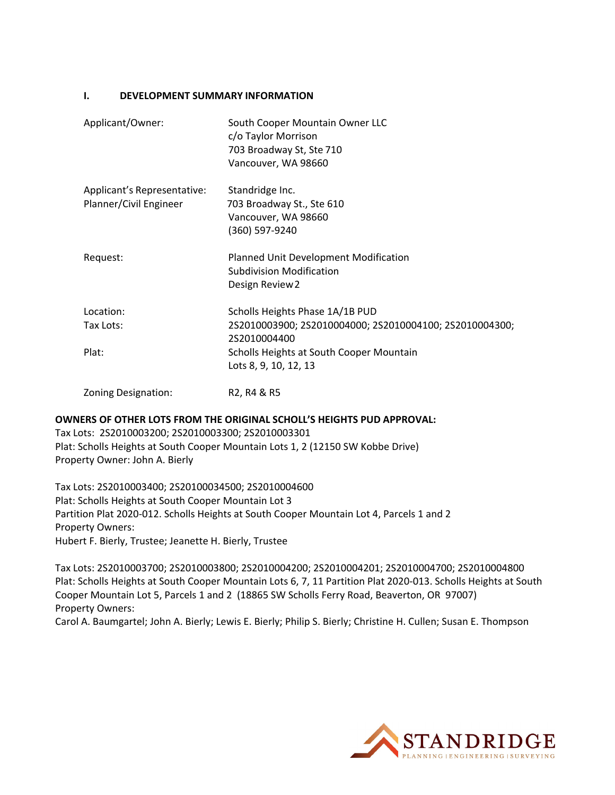#### **I. DEVELOPMENT SUMMARY INFORMATION**

| Applicant/Owner:                                      | South Cooper Mountain Owner LLC<br>c/o Taylor Morrison<br>703 Broadway St, Ste 710<br>Vancouver, WA 98660 |
|-------------------------------------------------------|-----------------------------------------------------------------------------------------------------------|
| Applicant's Representative:<br>Planner/Civil Engineer | Standridge Inc.<br>703 Broadway St., Ste 610<br>Vancouver, WA 98660<br>(360) 597-9240                     |
| Request:                                              | Planned Unit Development Modification<br><b>Subdivision Modification</b><br>Design Review 2               |
| Location:                                             | Scholls Heights Phase 1A/1B PUD                                                                           |
| Tax Lots:                                             | 2S2010003900; 2S2010004000; 2S2010004100; 2S2010004300;<br>2S2010004400                                   |
| Plat:                                                 | Scholls Heights at South Cooper Mountain<br>Lots 8, 9, 10, 12, 13                                         |
| <b>Zoning Designation:</b>                            | R2, R4 & R5                                                                                               |

**OWNERS OF OTHER LOTS FROM THE ORIGINAL SCHOLL'S HEIGHTS PUD APPROVAL:** Tax Lots: 2S2010003200; 2S2010003300; 2S2010003301 Plat: Scholls Heights at South Cooper Mountain Lots 1, 2 (12150 SW Kobbe Drive) Property Owner: John A. Bierly

Tax Lots: 2S2010003400; 2S20100034500; 2S2010004600 Plat: Scholls Heights at South Cooper Mountain Lot 3 Partition Plat 2020‐012. Scholls Heights at South Cooper Mountain Lot 4, Parcels 1 and 2 Property Owners: Hubert F. Bierly, Trustee; Jeanette H. Bierly, Trustee

Tax Lots: 2S2010003700; 2S2010003800; 2S2010004200; 2S2010004201; 2S2010004700; 2S2010004800 Plat: Scholls Heights at South Cooper Mountain Lots 6, 7, 11 Partition Plat 2020‐013. Scholls Heights at South Cooper Mountain Lot 5, Parcels 1 and 2 (18865 SW Scholls Ferry Road, Beaverton, OR 97007) Property Owners:

Carol A. Baumgartel; John A. Bierly; Lewis E. Bierly; Philip S. Bierly; Christine H. Cullen; Susan E. Thompson

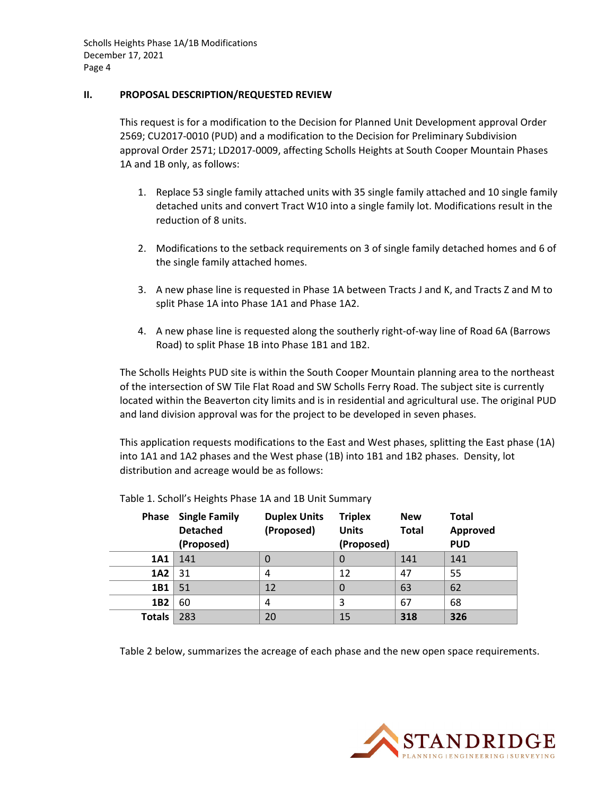#### **II. PROPOSAL DESCRIPTION/REQUESTED REVIEW**

This request is for a modification to the Decision for Planned Unit Development approval Order 2569; CU2017‐0010 (PUD) and a modification to the Decision for Preliminary Subdivision approval Order 2571; LD2017‐0009, affecting Scholls Heights at South Cooper Mountain Phases 1A and 1B only, as follows:

- 1. Replace 53 single family attached units with 35 single family attached and 10 single family detached units and convert Tract W10 into a single family lot. Modifications result in the reduction of 8 units.
- 2. Modifications to the setback requirements on 3 of single family detached homes and 6 of the single family attached homes.
- 3. A new phase line is requested in Phase 1A between Tracts J and K, and Tracts Z and M to split Phase 1A into Phase 1A1 and Phase 1A2.
- 4. A new phase line is requested along the southerly right-of-way line of Road 6A (Barrows Road) to split Phase 1B into Phase 1B1 and 1B2.

The Scholls Heights PUD site is within the South Cooper Mountain planning area to the northeast of the intersection of SW Tile Flat Road and SW Scholls Ferry Road. The subject site is currently located within the Beaverton city limits and is in residential and agricultural use. The original PUD and land division approval was for the project to be developed in seven phases.

This application requests modifications to the East and West phases, splitting the East phase (1A) into 1A1 and 1A2 phases and the West phase (1B) into 1B1 and 1B2 phases. Density, lot distribution and acreage would be as follows:

| <b>Phase</b>    | <b>Single Family</b><br><b>Detached</b> | <b>Duplex Units</b><br>(Proposed) | <b>Triplex</b><br><b>Units</b> | <b>New</b><br><b>Total</b> | <b>Total</b><br>Approved |
|-----------------|-----------------------------------------|-----------------------------------|--------------------------------|----------------------------|--------------------------|
|                 | (Proposed)                              |                                   | (Proposed)                     |                            | <b>PUD</b>               |
| 1A1             | 141                                     |                                   | 0                              | 141                        | 141                      |
| 1A2             | 31                                      | 4                                 | 12                             | 47                         | 55                       |
| 1B1             | 51                                      | 12                                | 0                              | 63                         | 62                       |
| 1B <sub>2</sub> | 60                                      | 4                                 | 3                              | 67                         | 68                       |
| <b>Totals</b>   | 283                                     | 20                                | 15                             | 318                        | 326                      |

Table 1. Scholl's Heights Phase 1A and 1B Unit Summary

Table 2 below, summarizes the acreage of each phase and the new open space requirements.

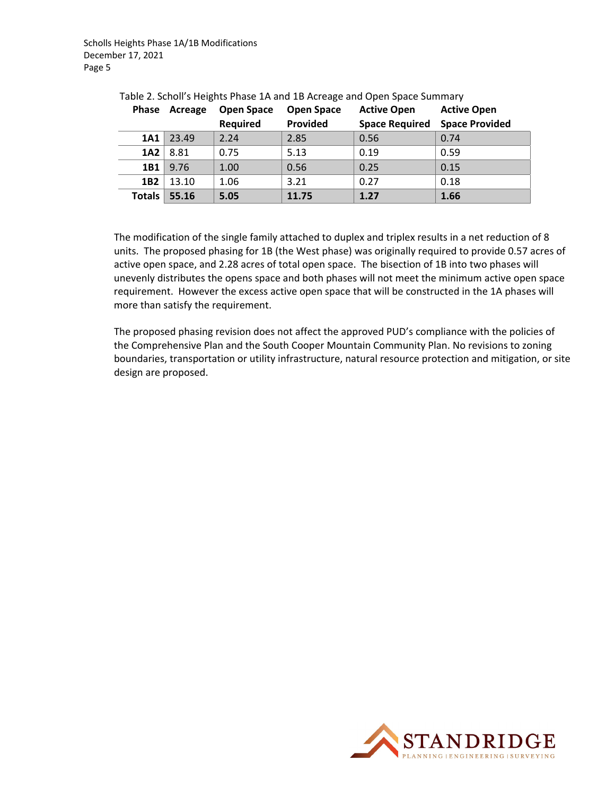| <b>Phase</b>    | Acreage | <b>Open Space</b><br><b>Required</b> | <b>Open Space</b><br>Provided | <b>Active Open</b><br><b>Space Required</b> | <b>Active Open</b><br><b>Space Provided</b> |
|-----------------|---------|--------------------------------------|-------------------------------|---------------------------------------------|---------------------------------------------|
| 1A1             | 23.49   | 2.24                                 | 2.85                          | 0.56                                        | 0.74                                        |
| 1A2             | 8.81    | 0.75                                 | 5.13                          | 0.19                                        | 0.59                                        |
| 1B1             | 9.76    | 1.00                                 | 0.56                          | 0.25                                        | 0.15                                        |
| 1B <sub>2</sub> | 13.10   | 1.06                                 | 3.21                          | 0.27                                        | 0.18                                        |
| <b>Totals</b>   | 55.16   | 5.05                                 | 11.75                         | 1.27                                        | 1.66                                        |

Table 2. Scholl's Heights Phase 1A and 1B Acreage and Open Space Summary

The modification of the single family attached to duplex and triplex results in a net reduction of 8 units. The proposed phasing for 1B (the West phase) was originally required to provide 0.57 acres of active open space, and 2.28 acres of total open space. The bisection of 1B into two phases will unevenly distributes the opens space and both phases will not meet the minimum active open space requirement. However the excess active open space that will be constructed in the 1A phases will more than satisfy the requirement.

The proposed phasing revision does not affect the approved PUD's compliance with the policies of the Comprehensive Plan and the South Cooper Mountain Community Plan. No revisions to zoning boundaries, transportation or utility infrastructure, natural resource protection and mitigation, or site design are proposed.

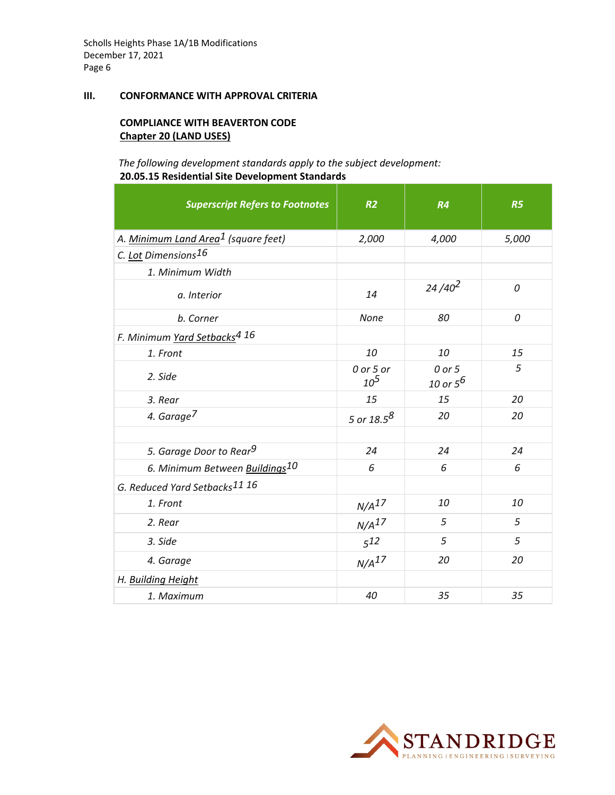#### **III. CONFORMANCE WITH APPROVAL CRITERIA**

#### **COMPLIANCE WITH BEAVERTON CODE Chapter 20 (LAND USES)**

#### *The following development standards apply to the subject development:* **20.05.15 Residential Site Development Standards**

| <b>Superscript Refers to Footnotes</b>          | R <sub>2</sub>        | R4                    | R <sub>5</sub> |
|-------------------------------------------------|-----------------------|-----------------------|----------------|
| A. Minimum Land Area <sup>1</sup> (square feet) | 2,000                 | 4,000                 | 5,000          |
| C. Lot Dimensions16                             |                       |                       |                |
| 1. Minimum Width                                |                       |                       |                |
| a. Interior                                     | 14                    | $24/40^2$             | 0              |
| b. Corner                                       | None                  | 80                    | 0              |
| F. Minimum Yard Setbacks <sup>4 16</sup>        |                       |                       |                |
| 1. Front                                        | 10                    | 10                    | 15             |
| 2. Side                                         | 0 or 5 or<br>$10^{5}$ | 0 or 5<br>10 or $5^6$ | 5              |
| 3. Rear                                         | 15                    | 15                    | 20             |
| 4. Garage <sup>7</sup>                          | 5 or $18.5^8$         | 20                    | 20             |
|                                                 |                       |                       |                |
| 5. Garage Door to Rear <sup>9</sup>             | 24                    | 24                    | 24             |
| 6. Minimum Between Buildings10                  | 6                     | 6                     | 6              |
| G. Reduced Yard Setbacks <sup>11</sup> 16       |                       |                       |                |
| 1. Front                                        | N/A <sup>17</sup>     | 10                    | 10             |
| 2. Rear                                         | N/A <sup>17</sup>     | 5                     | 5              |
| 3. Side                                         | $5^{12}$              | 5                     | 5              |
| 4. Garage                                       | N/A <sup>17</sup>     | 20                    | 20             |
| H. Building Height                              |                       |                       |                |
| 1. Maximum                                      | 40                    | 35                    | 35             |

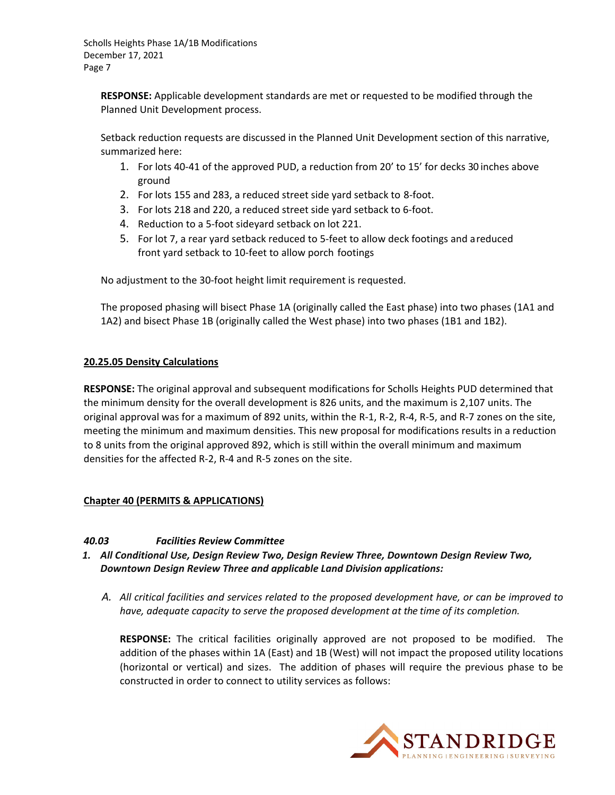**RESPONSE:** Applicable development standards are met or requested to be modified through the Planned Unit Development process.

Setback reduction requests are discussed in the Planned Unit Development section of this narrative, summarized here:

- 1. For lots 40‐41 of the approved PUD, a reduction from 20' to 15' for decks 30 inches above ground
- 2. For lots 155 and 283, a reduced street side yard setback to 8‐foot.
- 3. For lots 218 and 220, a reduced street side yard setback to 6‐foot.
- 4. Reduction to a 5‐foot sideyard setback on lot 221.
- 5. For lot 7, a rear yard setback reduced to 5‐feet to allow deck footings and areduced front yard setback to 10‐feet to allow porch footings

No adjustment to the 30‐foot height limit requirement is requested.

The proposed phasing will bisect Phase 1A (originally called the East phase) into two phases (1A1 and 1A2) and bisect Phase 1B (originally called the West phase) into two phases (1B1 and 1B2).

#### **20.25.05 Density Calculations**

**RESPONSE:** The original approval and subsequent modifications for Scholls Heights PUD determined that the minimum density for the overall development is 826 units, and the maximum is 2,107 units. The original approval was for a maximum of 892 units, within the R‐1, R‐2, R‐4, R‐5, and R‐7 zones on the site, meeting the minimum and maximum densities. This new proposal for modifications results in a reduction to 8 units from the original approved 892, which is still within the overall minimum and maximum densities for the affected R‐2, R‐4 and R‐5 zones on the site.

#### **Chapter 40 (PERMITS & APPLICATIONS)**

#### *40.03 Facilities Review Committee*

- *1. All Conditional Use, Design Review Two, Design Review Three, Downtown Design Review Two, Downtown Design Review Three and applicable Land Division applications:*
	- *A. All critical facilities and services related to the proposed development have, or can be improved to have, adequate capacity to serve the proposed development at the time of its completion.*

**RESPONSE:** The critical facilities originally approved are not proposed to be modified. The addition of the phases within 1A (East) and 1B (West) will not impact the proposed utility locations (horizontal or vertical) and sizes. The addition of phases will require the previous phase to be constructed in order to connect to utility services as follows:

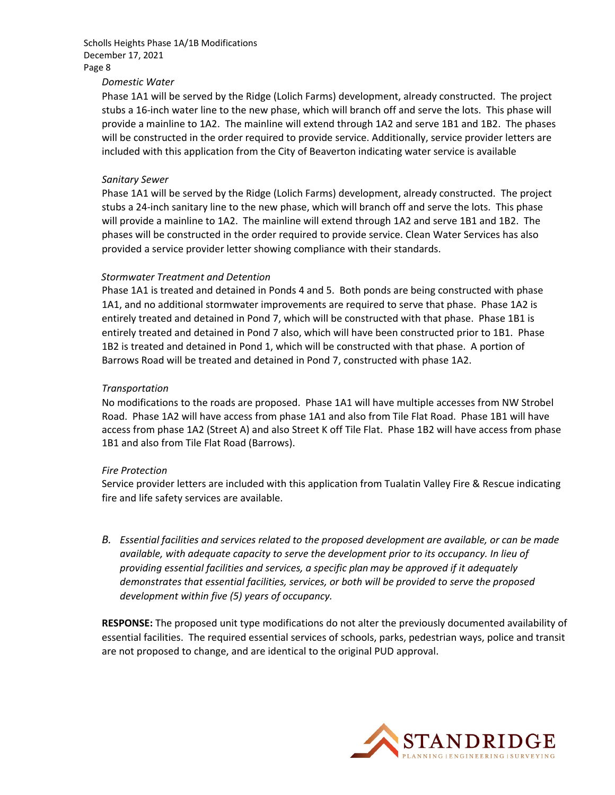#### *Domestic Water*

Phase 1A1 will be served by the Ridge (Lolich Farms) development, already constructed. The project stubs a 16‐inch water line to the new phase, which will branch off and serve the lots. This phase will provide a mainline to 1A2. The mainline will extend through 1A2 and serve 1B1 and 1B2. The phases will be constructed in the order required to provide service. Additionally, service provider letters are included with this application from the City of Beaverton indicating water service is available

#### *Sanitary Sewer*

Phase 1A1 will be served by the Ridge (Lolich Farms) development, already constructed. The project stubs a 24‐inch sanitary line to the new phase, which will branch off and serve the lots. This phase will provide a mainline to 1A2. The mainline will extend through 1A2 and serve 1B1 and 1B2. The phases will be constructed in the order required to provide service. Clean Water Services has also provided a service provider letter showing compliance with their standards.

#### *Stormwater Treatment and Detention*

Phase 1A1 is treated and detained in Ponds 4 and 5. Both ponds are being constructed with phase 1A1, and no additional stormwater improvements are required to serve that phase. Phase 1A2 is entirely treated and detained in Pond 7, which will be constructed with that phase. Phase 1B1 is entirely treated and detained in Pond 7 also, which will have been constructed prior to 1B1. Phase 1B2 is treated and detained in Pond 1, which will be constructed with that phase. A portion of Barrows Road will be treated and detained in Pond 7, constructed with phase 1A2.

#### *Transportation*

No modifications to the roads are proposed. Phase 1A1 will have multiple accesses from NW Strobel Road. Phase 1A2 will have access from phase 1A1 and also from Tile Flat Road. Phase 1B1 will have access from phase 1A2 (Street A) and also Street K off Tile Flat. Phase 1B2 will have access from phase 1B1 and also from Tile Flat Road (Barrows).

#### *Fire Protection*

Service provider letters are included with this application from Tualatin Valley Fire & Rescue indicating fire and life safety services are available.

*B. Essential facilities and services related to the proposed development are available, or can be made available, with adequate capacity to serve the development prior to its occupancy. In lieu of providing essential facilities and services, a specific plan may be approved if it adequately demonstrates that essential facilities, services, or both will be provided to serve the proposed development within five (5) years of occupancy.*

**RESPONSE:** The proposed unit type modifications do not alter the previously documented availability of essential facilities. The required essential services of schools, parks, pedestrian ways, police and transit are not proposed to change, and are identical to the original PUD approval.

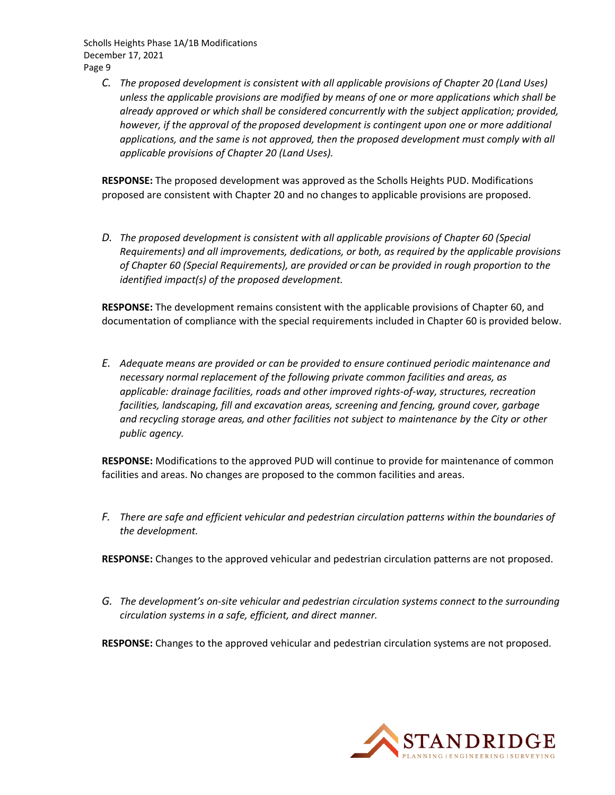*C. The proposed development is consistent with all applicable provisions of Chapter 20 (Land Uses) unless the applicable provisions are modified by means of one or more applications which shall be already approved or which shall be considered concurrently with the subject application; provided, however, if the approval of the proposed development is contingent upon one or more additional applications, and the same is not approved, then the proposed development must comply with all applicable provisions of Chapter 20 (Land Uses).*

**RESPONSE:** The proposed development was approved as the Scholls Heights PUD. Modifications proposed are consistent with Chapter 20 and no changes to applicable provisions are proposed.

*D. The proposed development is consistent with all applicable provisions of Chapter 60 (Special Requirements) and all improvements, dedications, or both, as required by the applicable provisions of Chapter 60 (Special Requirements), are provided or can be provided in rough proportion to the identified impact(s) of the proposed development.*

**RESPONSE:** The development remains consistent with the applicable provisions of Chapter 60, and documentation of compliance with the special requirements included in Chapter 60 is provided below.

*E. Adequate means are provided or can be provided to ensure continued periodic maintenance and necessary normal replacement of the following private common facilities and areas, as applicable: drainage facilities, roads and other improved rights‐of‐way, structures, recreation facilities, landscaping, fill and excavation areas, screening and fencing, ground cover, garbage and recycling storage areas, and other facilities not subject to maintenance by the City or other public agency.*

**RESPONSE:** Modifications to the approved PUD will continue to provide for maintenance of common facilities and areas. No changes are proposed to the common facilities and areas.

*F. There are safe and efficient vehicular and pedestrian circulation patterns within the boundaries of the development.*

**RESPONSE:** Changes to the approved vehicular and pedestrian circulation patterns are not proposed.

*G. The development's on‐site vehicular and pedestrian circulation systems connect to the surrounding circulation systems in a safe, efficient, and direct manner.*

**RESPONSE:** Changes to the approved vehicular and pedestrian circulation systems are not proposed.

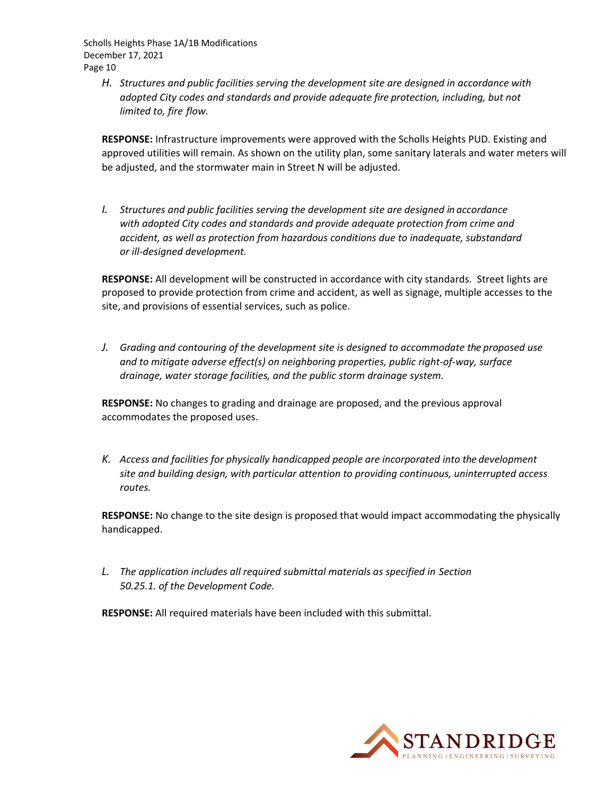*H. Structures and public facilities serving the development site are designed in accordance with adopted City codes and standards and provide adequate fire protection, including, but not limited to, fire flow.*

**RESPONSE:** Infrastructure improvements were approved with the Scholls Heights PUD. Existing and approved utilities will remain. As shown on the utility plan, some sanitary laterals and water meters will be adjusted, and the stormwater main in Street N will be adjusted.

*I. Structures and public facilities serving the development site are designed in accordance with adopted City codes and standards and provide adequate protection from crime and accident, as well as protection from hazardous conditions due to inadequate, substandard or ill‐designed development.*

**RESPONSE:** All development will be constructed in accordance with city standards. Street lights are proposed to provide protection from crime and accident, as well as signage, multiple accesses to the site, and provisions of essential services, such as police.

*J. Grading and contouring of the development site is designed to accommodate the proposed use and to mitigate adverse effect(s) on neighboring properties, public right‐of‐way, surface drainage, water storage facilities, and the public storm drainage system.*

**RESPONSE:** No changes to grading and drainage are proposed, and the previous approval accommodates the proposed uses.

*K. Access and facilities for physically handicapped people are incorporated into the development site and building design, with particular attention to providing continuous, uninterrupted access routes.*

**RESPONSE:** No change to the site design is proposed that would impact accommodating the physically handicapped.

*L. The application includes all required submittal materials as specified in Section 50.25.1. of the Development Code.*

**RESPONSE:** All required materials have been included with this submittal.

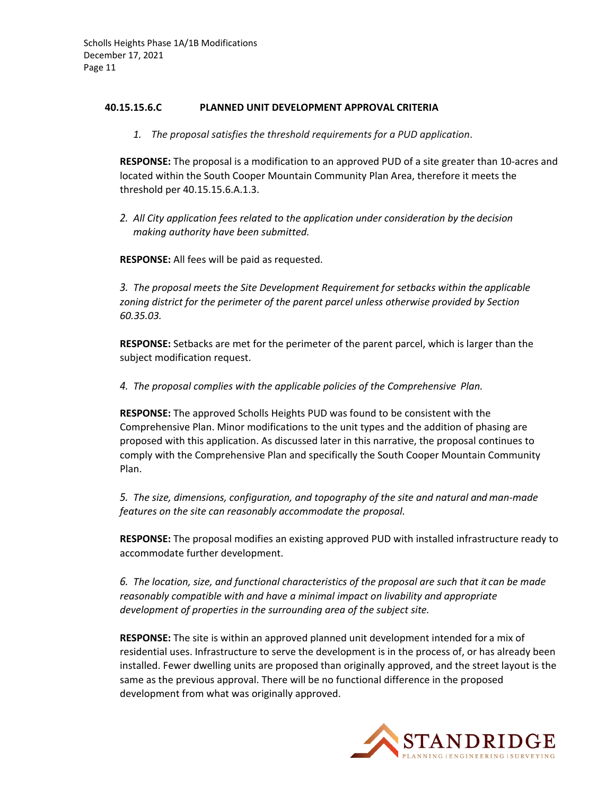#### **40.15.15.6.C PLANNED UNIT DEVELOPMENT APPROVAL CRITERIA**

*1. The proposal satisfies the threshold requirements for a PUD application*.

**RESPONSE:** The proposal is a modification to an approved PUD of a site greater than 10‐acres and located within the South Cooper Mountain Community Plan Area, therefore it meets the threshold per 40.15.15.6.A.1.3.

*2. All City application fees related to the application under consideration by the decision making authority have been submitted.*

**RESPONSE:** All fees will be paid as requested.

*3. The proposal meets the Site Development Requirement for setbacks within the applicable zoning district for the perimeter of the parent parcel unless otherwise provided by Section 60.35.03.*

**RESPONSE:** Setbacks are met for the perimeter of the parent parcel, which is larger than the subject modification request.

*4. The proposal complies with the applicable policies of the Comprehensive Plan.*

**RESPONSE:** The approved Scholls Heights PUD was found to be consistent with the Comprehensive Plan. Minor modifications to the unit types and the addition of phasing are proposed with this application. As discussed later in this narrative, the proposal continues to comply with the Comprehensive Plan and specifically the South Cooper Mountain Community Plan.

*5. The size, dimensions, configuration, and topography of the site and natural and man‐made features on the site can reasonably accommodate the proposal.*

**RESPONSE:** The proposal modifies an existing approved PUD with installed infrastructure ready to accommodate further development.

*6. The location, size, and functional characteristics of the proposal are such that it can be made reasonably compatible with and have a minimal impact on livability and appropriate development of properties in the surrounding area of the subject site.*

**RESPONSE:** The site is within an approved planned unit development intended for a mix of residential uses. Infrastructure to serve the development is in the process of, or has already been installed. Fewer dwelling units are proposed than originally approved, and the street layout is the same as the previous approval. There will be no functional difference in the proposed development from what was originally approved.

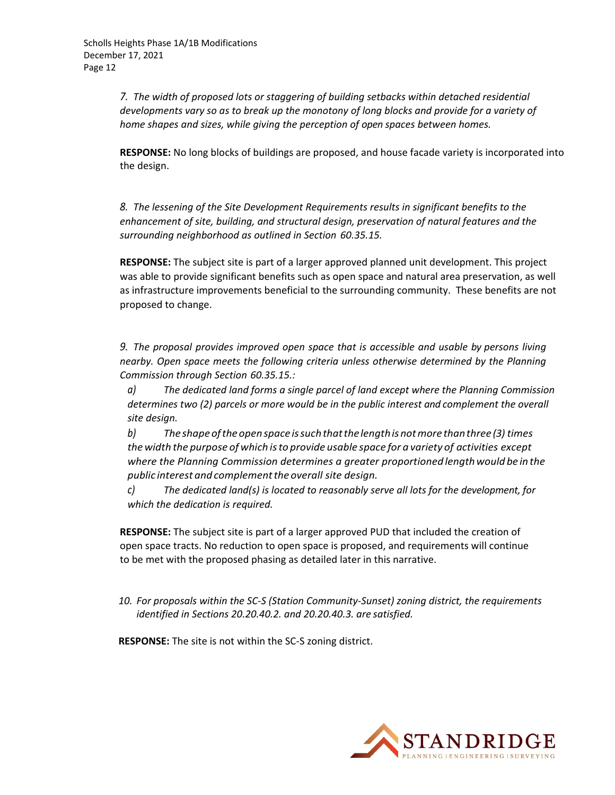*7. The width of proposed lots or staggering of building setbacks within detached residential developments vary so as to break up the monotony of long blocks and provide for a variety of home shapes and sizes, while giving the perception of open spaces between homes.*

**RESPONSE:** No long blocks of buildings are proposed, and house facade variety is incorporated into the design.

*8. The lessening of the Site Development Requirements results in significant benefits to the enhancement of site, building, and structural design, preservation of natural features and the surrounding neighborhood as outlined in Section 60.35.15.*

**RESPONSE:** The subject site is part of a larger approved planned unit development. This project was able to provide significant benefits such as open space and natural area preservation, as well as infrastructure improvements beneficial to the surrounding community. These benefits are not proposed to change.

*9. The proposal provides improved open space that is accessible and usable by persons living nearby. Open space meets the following criteria unless otherwise determined by the Planning Commission through Section 60.35.15.:*

*a) The dedicated land forms a single parcel of land except where the Planning Commission determines two (2) parcels or more would be in the public interest and complement the overall site design.*

*b) Theshapeoftheopenspaceissuchthatthelengthisnotmore thanthree (3) times the width the purpose of which isto provide usable space for a variety of activities except where the Planning Commission determines a greater proportioned lengthwould be in the public interest and complementthe overall site design.*

*c) The dedicated land(s) is located to reasonably serve all lots for the development, for which the dedication is required.*

**RESPONSE:** The subject site is part of a larger approved PUD that included the creation of open space tracts. No reduction to open space is proposed, and requirements will continue to be met with the proposed phasing as detailed later in this narrative.

*10. For proposals within the SC‐S (Station Community‐Sunset) zoning district, the requirements identified in Sections 20.20.40.2. and 20.20.40.3. are satisfied.*

**RESPONSE:** The site is not within the SC‐S zoning district.

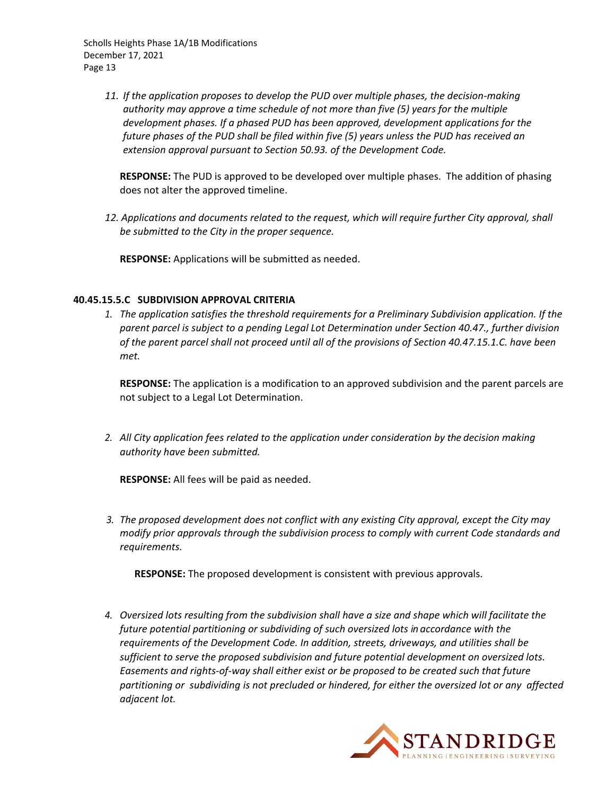> *11. If the application proposes to develop the PUD over multiple phases, the decision‐making authority may approve a time schedule of not more than five (5) years for the multiple development phases. If a phased PUD has been approved, development applications for the future phases of the PUD shall be filed within five (5) years unless the PUD has received an extension approval pursuant to Section 50.93. of the Development Code.*

**RESPONSE:** The PUD is approved to be developed over multiple phases. The addition of phasing does not alter the approved timeline.

*12. Applications and documents related to the request, which will require further City approval, shall be submitted to the City in the proper sequence.*

**RESPONSE:** Applications will be submitted as needed.

#### **40.45.15.5.C SUBDIVISION APPROVAL CRITERIA**

*1. The application satisfies the threshold requirements for a Preliminary Subdivision application. If the parent parcel is subject to a pending Legal Lot Determination under Section 40.47., further division of the parent parcel shall not proceed until all of the provisions of Section 40.47.15.1.C. have been met.*

**RESPONSE:** The application is a modification to an approved subdivision and the parent parcels are not subject to a Legal Lot Determination.

*2. All City application fees related to the application under consideration by the decision making authority have been submitted.*

**RESPONSE:** All fees will be paid as needed.

*3. The proposed development does not conflict with any existing City approval, except the City may modify prior approvals through the subdivision process to comply with current Code standards and requirements.*

**RESPONSE:** The proposed development is consistent with previous approvals.

*4. Oversized lots resulting from the subdivision shall have a size and shape which will facilitate the future potential partitioning or subdividing of such oversized lots in accordance with the requirements of the Development Code. In addition, streets, driveways, and utilities shall be sufficient to serve the proposed subdivision and future potential development on oversized lots.* Easements and rights-of-way shall either exist or be proposed to be created such that future partitioning or subdividing is not precluded or hindered, for either the oversized lot or any affected *adjacent lot.*

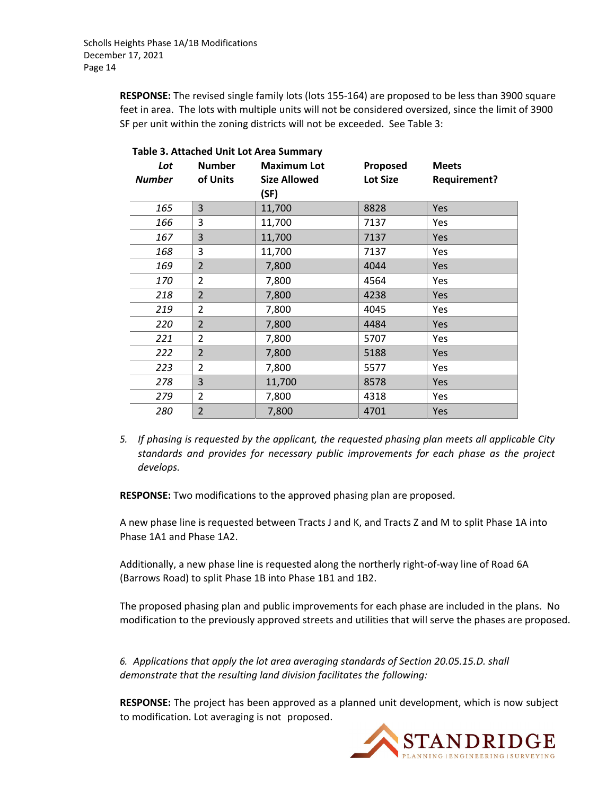**RESPONSE:** The revised single family lots (lots 155‐164) are proposed to be less than 3900 square feet in area. The lots with multiple units will not be considered oversized, since the limit of 3900 SF per unit within the zoning districts will not be exceeded. See Table 3:

| Lot           | <b>Number</b>  | <b>Maximum Lot</b>  | Proposed        | <b>Meets</b>        |  |  |
|---------------|----------------|---------------------|-----------------|---------------------|--|--|
| <b>Number</b> | of Units       | <b>Size Allowed</b> | <b>Lot Size</b> | <b>Requirement?</b> |  |  |
|               |                | (SF)                |                 |                     |  |  |
| 165           | 3              | 11,700              | 8828            | Yes                 |  |  |
| 166           | 3              | 11,700              | 7137            | Yes                 |  |  |
| 167           | 3              | 11,700              | 7137            | Yes                 |  |  |
| 168           | 3              | 11,700              | 7137            | Yes                 |  |  |
| 169           | $\overline{2}$ | 7,800               | 4044            | Yes                 |  |  |
| 170           | $\overline{2}$ | 7,800               | 4564            | Yes                 |  |  |
| 218           | $\overline{2}$ | 7,800               | 4238            | Yes                 |  |  |
| 219           | $\overline{2}$ | 7,800               | 4045            | Yes                 |  |  |
| 220           | $\overline{2}$ | 7,800               | 4484            | Yes                 |  |  |
| 221           | $\overline{2}$ | 7,800               | 5707            | Yes                 |  |  |
| 222           | $\overline{2}$ | 7,800               | 5188            | Yes                 |  |  |
| 223           | $\overline{2}$ | 7,800               | 5577            | Yes                 |  |  |
| 278           | 3              | 11,700              | 8578            | Yes                 |  |  |
| 279           | 2              | 7,800               | 4318            | Yes                 |  |  |
| 280           | $\overline{2}$ | 7,800               | 4701            | Yes                 |  |  |

**Table 3. Attached Unit Lot Area Summary**

*5. If phasing is requested by the applicant, the requested phasing plan meets all applicable City standards and provides for necessary public improvements for each phase as the project develops.*

**RESPONSE:** Two modifications to the approved phasing plan are proposed.

A new phase line is requested between Tracts J and K, and Tracts Z and M to split Phase 1A into Phase 1A1 and Phase 1A2.

Additionally, a new phase line is requested along the northerly right‐of‐way line of Road 6A (Barrows Road) to split Phase 1B into Phase 1B1 and 1B2.

The proposed phasing plan and public improvements for each phase are included in the plans. No modification to the previously approved streets and utilities that will serve the phases are proposed.

*6. Applications that apply the lot area averaging standards of Section 20.05.15.D. shall demonstrate that the resulting land division facilitates the following:*

**RESPONSE:** The project has been approved as a planned unit development, which is now subject to modification. Lot averaging is not proposed.

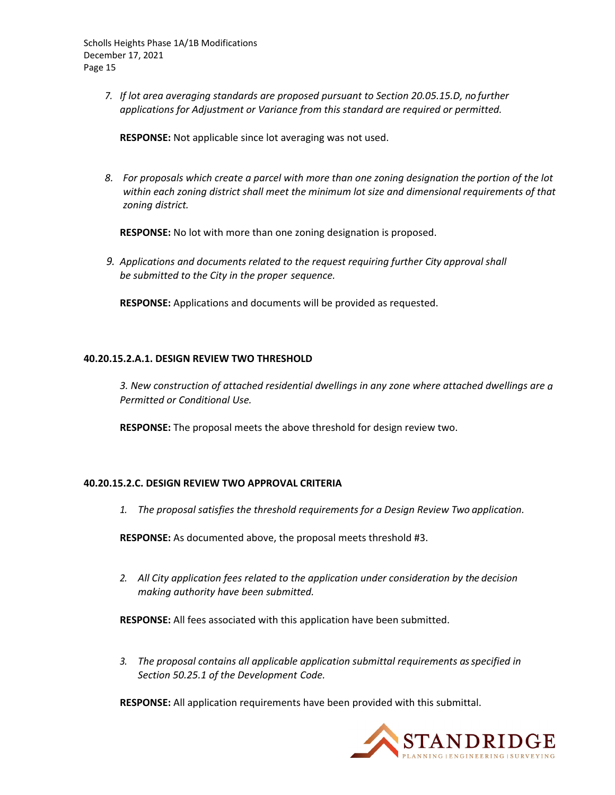*7. If lot area averaging standards are proposed pursuant to Section 20.05.15.D, no further applications for Adjustment or Variance from this standard are required or permitted.*

**RESPONSE:** Not applicable since lot averaging was not used.

8. For proposals which create a parcel with more than one zoning designation the portion of the lot *within each zoning district shall meet the minimum lot size and dimensional requirements of that zoning district.*

**RESPONSE:** No lot with more than one zoning designation is proposed.

*9. Applications and documents related to the request requiring further City approval shall be submitted to the City in the proper sequence.*

**RESPONSE:** Applications and documents will be provided as requested.

#### **40.20.15.2.A.1. DESIGN REVIEW TWO THRESHOLD**

*3. New construction of attached residential dwellings in any zone where attached dwellings are a Permitted or Conditional Use.*

**RESPONSE:** The proposal meets the above threshold for design review two.

#### **40.20.15.2.C. DESIGN REVIEW TWO APPROVAL CRITERIA**

*1. The proposal satisfies the threshold requirements for a Design Review Two application.*

**RESPONSE:** As documented above, the proposal meets threshold #3.

*2. All City application fees related to the application under consideration by the decision making authority have been submitted.*

**RESPONSE:** All fees associated with this application have been submitted.

*3. The proposal contains all applicable application submittal requirements asspecified in Section 50.25.1 of the Development Code.*

**RESPONSE:** All application requirements have been provided with this submittal.

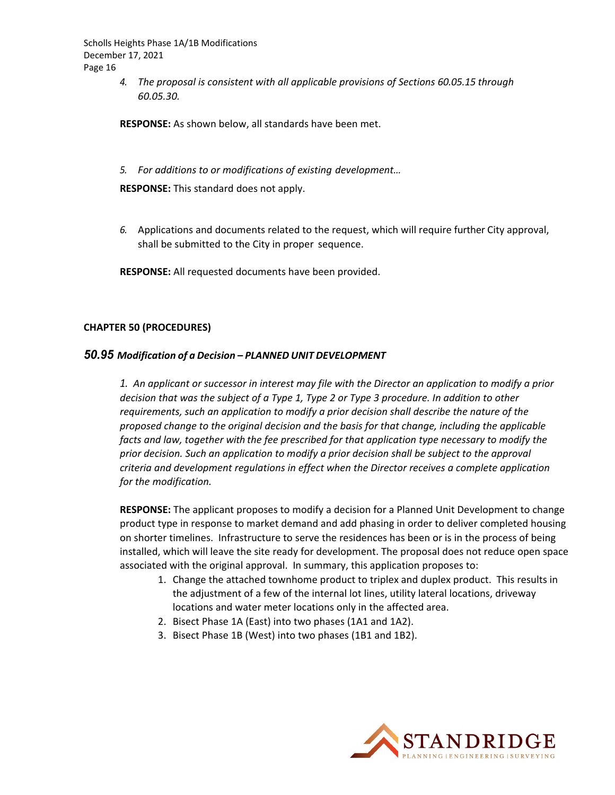> *4. The proposal is consistent with all applicable provisions of Sections 60.05.15 through 60.05.30.*

**RESPONSE:** As shown below, all standards have been met.

*5. For additions to or modifications of existing development…*

**RESPONSE:** This standard does not apply.

*6.* Applications and documents related to the request, which will require further City approval, shall be submitted to the City in proper sequence.

**RESPONSE:** All requested documents have been provided.

#### **CHAPTER 50 (PROCEDURES)**

#### *50.95 Modification of a Decision – PLANNED UNIT DEVELOPMENT*

1. An applicant or successor in interest may file with the Director an application to modify a prior *decision that was the subject of a Type 1, Type 2 or Type 3 procedure. In addition to other requirements, such an application to modify a prior decision shall describe the nature of the proposed change to the original decision and the basis for that change, including the applicable facts and law, together with the fee prescribed for that application type necessary to modify the prior decision. Such an application to modify a prior decision shall be subject to the approval criteria and development regulations in effect when the Director receives a complete application for the modification.*

**RESPONSE:** The applicant proposes to modify a decision for a Planned Unit Development to change product type in response to market demand and add phasing in order to deliver completed housing on shorter timelines. Infrastructure to serve the residences has been or is in the process of being installed, which will leave the site ready for development. The proposal does not reduce open space associated with the original approval. In summary, this application proposes to:

- 1. Change the attached townhome product to triplex and duplex product. This results in the adjustment of a few of the internal lot lines, utility lateral locations, driveway locations and water meter locations only in the affected area.
- 2. Bisect Phase 1A (East) into two phases (1A1 and 1A2).
- 3. Bisect Phase 1B (West) into two phases (1B1 and 1B2).

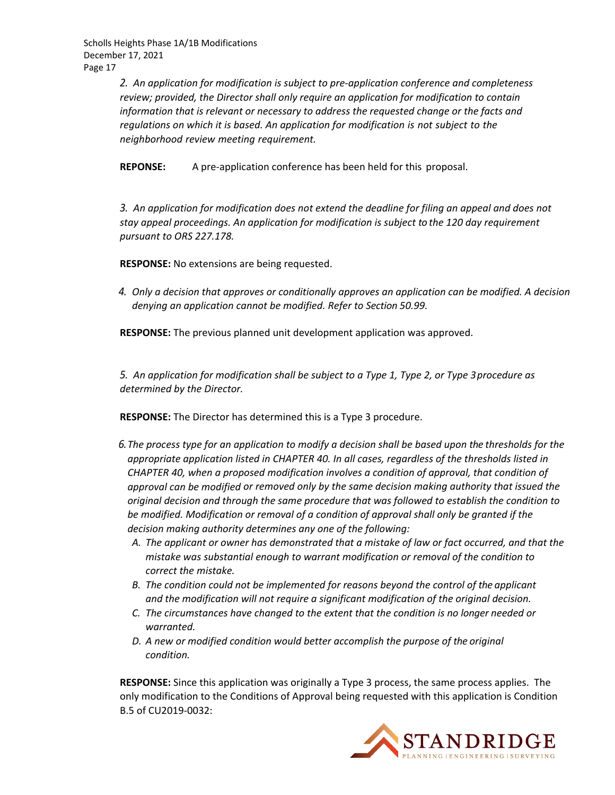> *2. An application for modification is subject to pre‐application conference and completeness review; provided, the Director shall only require an application for modification to contain information that is relevant or necessary to address the requested change or the facts and regulations on which it is based. An application for modification is not subject to the neighborhood review meeting requirement.*

**REPONSE:** A pre‐application conference has been held for this proposal.

*3. An application for modification does not extend the deadline for filing an appeal and does not stay appeal proceedings. An application for modification is subject to the 120 day requirement pursuant to ORS 227.178.*

**RESPONSE:** No extensions are being requested.

*4. Only a decision that approves or conditionally approves an application can be modified. A decision denying an application cannot be modified. Refer to Section 50.99.*

**RESPONSE:** The previous planned unit development application was approved.

*5. An application for modification shall be subject to a Type 1, Type 2, or Type 3procedure as determined by the Director.*

**RESPONSE:** The Director has determined this is a Type 3 procedure.

- 6. The process type for an application to modify a decision shall be based upon the thresholds for the  $\,$ *appropriate application listed in CHAPTER 40. In all cases, regardless of the thresholds listed in CHAPTER 40, when a proposed modification involves a condition of approval, that condition of approval can be modified or removed only by the same decision making authority that issued the original decision and through the same procedure that was followed to establish the condition to be modified. Modification or removal of a condition of approval shall only be granted if the decision making authority determines any one of the following:*
	- *A. The applicant or owner has demonstrated that a mistake of law or fact occurred, and that the mistake was substantial enough to warrant modification or removal of the condition to correct the mistake.*
	- *B. The condition could not be implemented for reasons beyond the control of the applicant and the modification will not require a significant modification of the original decision.*
	- *C. The circumstances have changed to the extent that the condition is no longer needed or warranted.*
	- *D. A new or modified condition would better accomplish the purpose of the original condition.*

**RESPONSE:** Since this application was originally a Type 3 process, the same process applies. The only modification to the Conditions of Approval being requested with this application is Condition B.5 of CU2019‐0032:

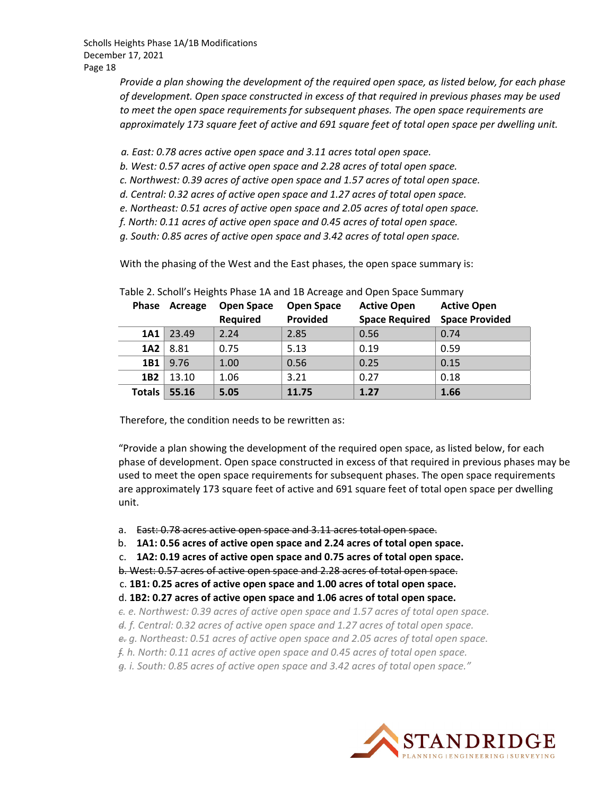> *Provide a plan showing the development of the required open space, as listed below, for each phase of development. Open space constructed in excess of that required in previous phases may be used to meet the open space requirements for subsequent phases. The open space requirements are approximately 173 square feet of active and 691 square feet of total open space per dwelling unit.*

*a. East: 0.78 acres active open space and 3.11 acres total open space.*

*b. West: 0.57 acres of active open space and 2.28 acres of total open space.*

*c. Northwest: 0.39 acres of active open space and 1.57 acres of total open space.*

- *d. Central: 0.32 acres of active open space and 1.27 acres of total open space.*
- *e. Northeast: 0.51 acres of active open space and 2.05 acres of total open space.*
- *f. North: 0.11 acres of active open space and 0.45 acres of total open space.*

*g. South: 0.85 acres of active open space and 3.42 acres of total open space.*

With the phasing of the West and the East phases, the open space summary is:

| <b>Phase</b>    | Acreage | <b>Open Space</b><br>Required | <b>Open Space</b><br>Provided | <b>Active Open</b><br><b>Space Required</b> | <b>Active Open</b><br><b>Space Provided</b> |
|-----------------|---------|-------------------------------|-------------------------------|---------------------------------------------|---------------------------------------------|
| 1A1             | 23.49   | 2.24                          | 2.85                          | 0.56                                        | 0.74                                        |
| 1A2             | 8.81    | 0.75                          | 5.13                          | 0.19                                        | 0.59                                        |
| 1B1             | 9.76    | 1.00                          | 0.56                          | 0.25                                        | 0.15                                        |
| 1B <sub>2</sub> | 13.10   | 1.06                          | 3.21                          | 0.27                                        | 0.18                                        |
| <b>Totals</b>   | 55.16   | 5.05                          | 11.75                         | 1.27                                        | 1.66                                        |

Table 2. Scholl's Heights Phase 1A and 1B Acreage and Open Space Summary

Therefore, the condition needs to be rewritten as:

"Provide a plan showing the development of the required open space, as listed below, for each phase of development. Open space constructed in excess of that required in previous phases may be used to meet the open space requirements for subsequent phases. The open space requirements are approximately 173 square feet of active and 691 square feet of total open space per dwelling unit.

- a. East: 0.78 acres active open space and 3.11 acres total open space.
- b. **1A1: 0.56 acres of active open space and 2.24 acres of total open space.**
- c. **1A2: 0.19 acres of active open space and 0.75 acres of total open space.**

b. West: 0.57 acres of active open space and 2.28 acres of total open space.

c. **1B1: 0.25 acres of active open space and 1.00 acres of total open space.**

- d. **1B2: 0.27 acres of active open space and 1.06 acres of total open space.**
- *c. e. Northwest: 0.39 acres of active open space and 1.57 acres of total open space.*
- *d. f. Central: 0.32 acres of active open space and 1.27 acres of total open space.*
- *e. g. Northeast: 0.51 acres of active open space and 2.05 acres of total open space.*
- *f. h. North: 0.11 acres of active open space and 0.45 acres of total open space.*

*g. i. South: 0.85 acres of active open space and 3.42 acres of total open space."*

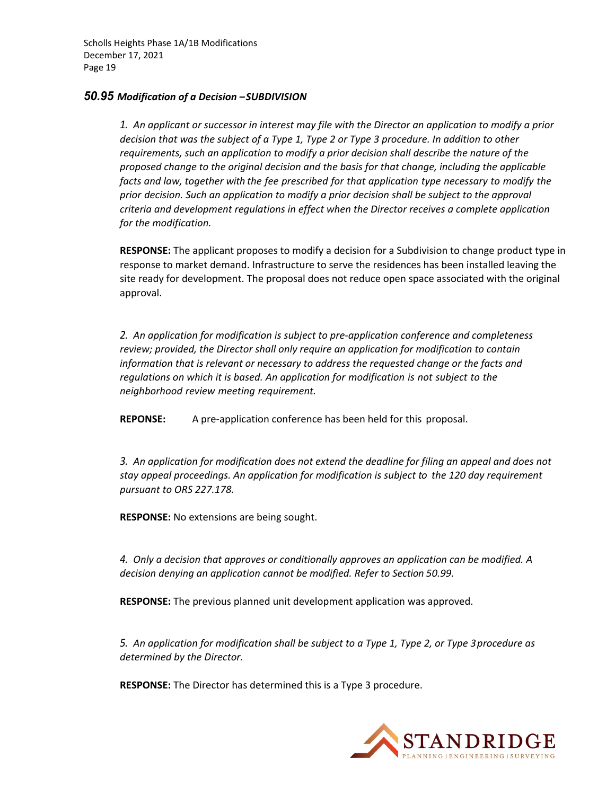#### *50.95 Modification of a Decision –SUBDIVISION*

1. An applicant or successor in interest may file with the Director an application to modify a prior *decision that was the subject of a Type 1, Type 2 or Type 3 procedure. In addition to other requirements, such an application to modify a prior decision shall describe the nature of the proposed change to the original decision and the basis for that change, including the applicable facts and law, together with the fee prescribed for that application type necessary to modify the prior decision. Such an application to modify a prior decision shall be subject to the approval criteria and development regulations in effect when the Director receives a complete application for the modification.*

**RESPONSE:** The applicant proposes to modify a decision for a Subdivision to change product type in response to market demand. Infrastructure to serve the residences has been installed leaving the site ready for development. The proposal does not reduce open space associated with the original approval.

*2. An application for modification is subject to pre‐application conference and completeness review; provided, the Director shall only require an application for modification to contain information that is relevant or necessary to address the requested change or the facts and regulations on which it is based. An application for modification is not subject to the neighborhood review meeting requirement.*

**REPONSE:** A pre‐application conference has been held for this proposal.

*3. An application for modification does not extend the deadline for filing an appeal and does not stay appeal proceedings. An application for modification is subject to the 120 day requirement pursuant to ORS 227.178.*

**RESPONSE:** No extensions are being sought.

*4. Only a decision that approves or conditionally approves an application can be modified. A decision denying an application cannot be modified. Refer to Section 50.99.*

**RESPONSE:** The previous planned unit development application was approved.

*5. An application for modification shall be subject to a Type 1, Type 2, or Type 3procedure as determined by the Director.*

**RESPONSE:** The Director has determined this is a Type 3 procedure.

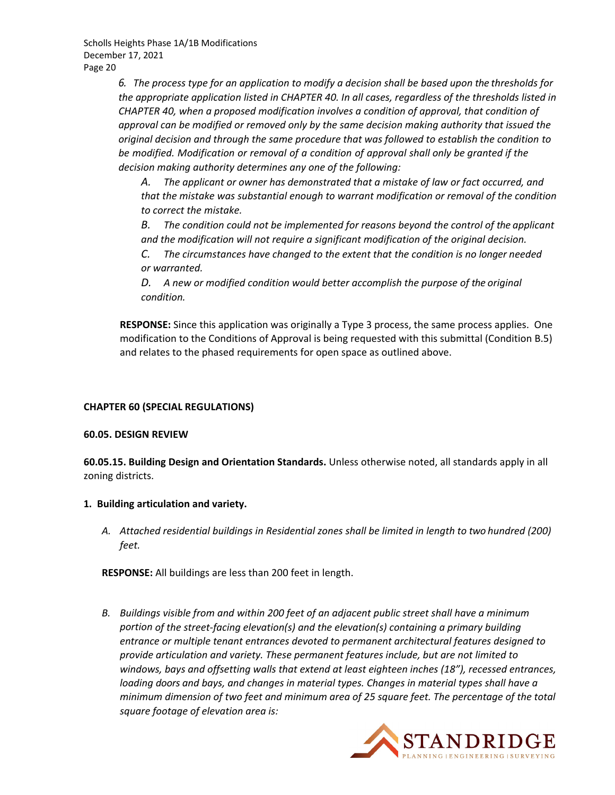*6. The process type for an application to modify a decision shall be based upon the thresholds for the appropriate application listed in CHAPTER 40. In all cases, regardless of the thresholds listed in CHAPTER 40, when a proposed modification involves a condition of approval, that condition of approval can be modified or removed only by the same decision making authority that issued the original decision and through the same procedure that was followed to establish the condition to be modified. Modification or removal of a condition of approval shall only be granted if the decision making authority determines any one of the following:*

*A. The applicant or owner has demonstrated that a mistake of law or fact occurred, and that the mistake was substantial enough to warrant modification or removal of the condition to correct the mistake.*

*B. The condition could not be implemented for reasons beyond the control of the applicant and the modification will not require a significant modification of the original decision.*

*C. The circumstances have changed to the extent that the condition is no longer needed or warranted.*

*D. A new or modified condition would better accomplish the purpose of the original condition.*

**RESPONSE:** Since this application was originally a Type 3 process, the same process applies. One modification to the Conditions of Approval is being requested with this submittal (Condition B.5) and relates to the phased requirements for open space as outlined above.

## **CHAPTER 60 (SPECIAL REGULATIONS)**

#### **60.05. DESIGN REVIEW**

**60.05.15. Building Design and Orientation Standards.** Unless otherwise noted, all standards apply in all zoning districts.

#### **1. Building articulation and variety.**

*A. Attached residential buildings in Residential zones shall be limited in length to two hundred (200) feet.*

**RESPONSE:** All buildings are less than 200 feet in length.

*B. Buildings visible from and within 200 feet of an adjacent public street shall have a minimum portion of the street‐facing elevation(s) and the elevation(s) containing a primary building entrance or multiple tenant entrances devoted to permanent architectural features designed to provide articulation and variety. These permanent features include, but are not limited to windows, bays and offsetting walls that extend at least eighteen inches (18"), recessed entrances, loading doors and bays, and changes in material types. Changes in material types shall have a minimum dimension of two feet and minimum area of 25 square feet. The percentage of the total square footage of elevation area is:*

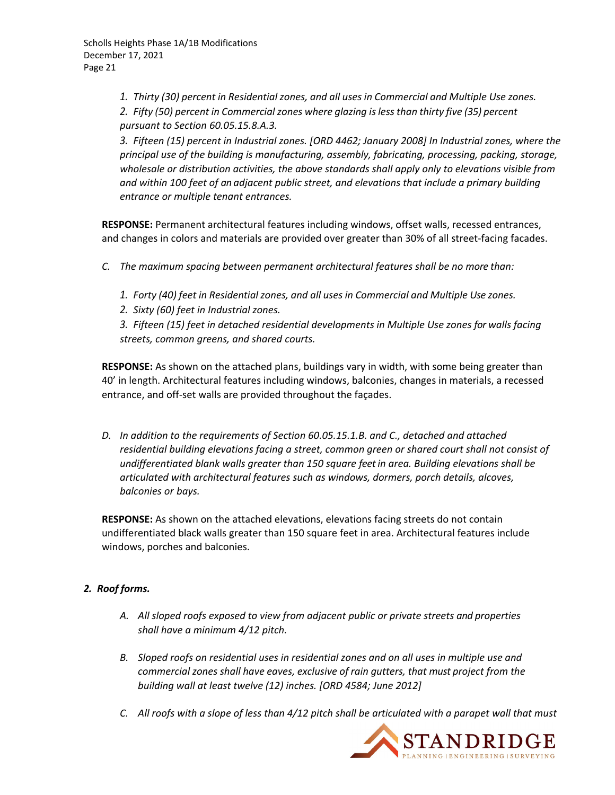*1. Thirty (30) percent in Residential zones, and all uses in Commercial and Multiple Use zones.*

*2. Fifty (50) percent in Commercial zones where glazing isless than thirty five (35) percent pursuant to Section 60.05.15.8.A.3.*

*3. Fifteen (15) percent in Industrial zones. [ORD 4462; January 2008] In Industrial zones, where the principal use of the building is manufacturing, assembly, fabricating, processing, packing, storage, wholesale or distribution activities, the above standards shall apply only to elevations visible from and within 100 feet of an adjacent public street, and elevations that include a primary building entrance or multiple tenant entrances.*

**RESPONSE:** Permanent architectural features including windows, offset walls, recessed entrances, and changes in colors and materials are provided over greater than 30% of all street-facing facades.

- *C. The maximum spacing between permanent architectural features shall be no more than:*
	- *1. Forty (40) feet in Residential zones, and all uses in Commercial and Multiple Use zones.*
	- *2. Sixty (60) feet in Industrial zones.*
	- *3. Fifteen (15) feet in detached residential developments in Multiple Use zones for walls facing streets, common greens, and shared courts.*

**RESPONSE:** As shown on the attached plans, buildings vary in width, with some being greater than 40' in length. Architectural features including windows, balconies, changes in materials, a recessed entrance, and off‐set walls are provided throughout the façades.

*D. In addition to the requirements of Section 60.05.15.1.B. and C., detached and attached residential building elevations facing a street, common green or shared court shall not consist of undifferentiated blank walls greater than 150 square feet in area. Building elevations shall be articulated with architectural features such as windows, dormers, porch details, alcoves, balconies or bays.*

**RESPONSE:** As shown on the attached elevations, elevations facing streets do not contain undifferentiated black walls greater than 150 square feet in area. Architectural features include windows, porches and balconies.

## *2. Roof forms.*

- *A. All sloped roofs exposed to view from adjacent public or private streets and properties shall have a minimum 4/12 pitch.*
- *B. Sloped roofs on residential uses in residential zones and on all uses in multiple use and commercial zones shall have eaves, exclusive of rain gutters, that must project from the building wall at least twelve (12) inches. [ORD 4584; June 2012]*
- C. All roofs with a slope of less than 4/12 pitch shall be articulated with a parapet wall that must

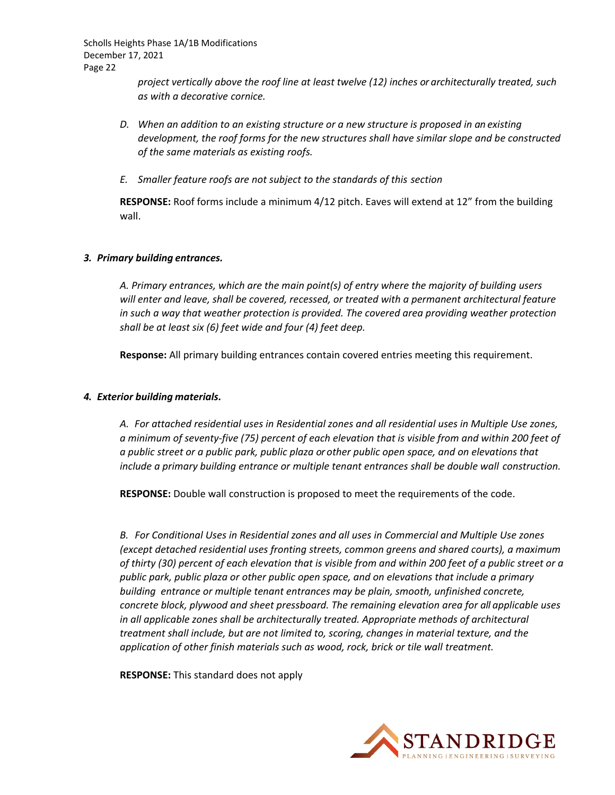> *project vertically above the roof line at least twelve (12) inches or architecturally treated, such as with a decorative cornice.*

- *D. When an addition to an existing structure or a new structure is proposed in an existing development, the roof forms for the new structures shall have similar slope and be constructed of the same materials as existing roofs.*
- *E. Smaller feature roofs are not subject to the standards of this section*

**RESPONSE:** Roof forms include a minimum 4/12 pitch. Eaves will extend at 12" from the building wall.

#### *3. Primary building entrances.*

*A. Primary entrances, which are the main point(s) of entry where the majority of building users will enter and leave, shall be covered, recessed, or treated with a permanent architectural feature in such a way that weather protection is provided. The covered area providing weather protection shall be at least six (6) feet wide and four (4) feet deep.*

**Response:** All primary building entrances contain covered entries meeting this requirement.

#### *4. Exterior building materials.*

*A. For attached residential uses in Residential zones and all residential uses in Multiple Use zones,* a minimum of seventy-five (75) percent of each elevation that is visible from and within 200 feet of *a public street or a public park, public plaza or other public open space, and on elevations that include a primary building entrance or multiple tenant entrances shall be double wall construction.*

**RESPONSE:** Double wall construction is proposed to meet the requirements of the code.

*B. For Conditional Uses in Residential zones and all uses in Commercial and Multiple Use zones (except detached residential uses fronting streets, common greens and shared courts), a maximum* of thirty (30) percent of each elevation that is visible from and within 200 feet of a public street or a *public park, public plaza or other public open space, and on elevations that include a primary building entrance or multiple tenant entrances may be plain, smooth, unfinished concrete, concrete block, plywood and sheet pressboard. The remaining elevation area for all applicable uses in all applicable zones shall be architecturally treated. Appropriate methods of architectural treatment shall include, but are not limited to, scoring, changes in material texture, and the application of other finish materials such as wood, rock, brick or tile wall treatment.*

**RESPONSE:** This standard does not apply

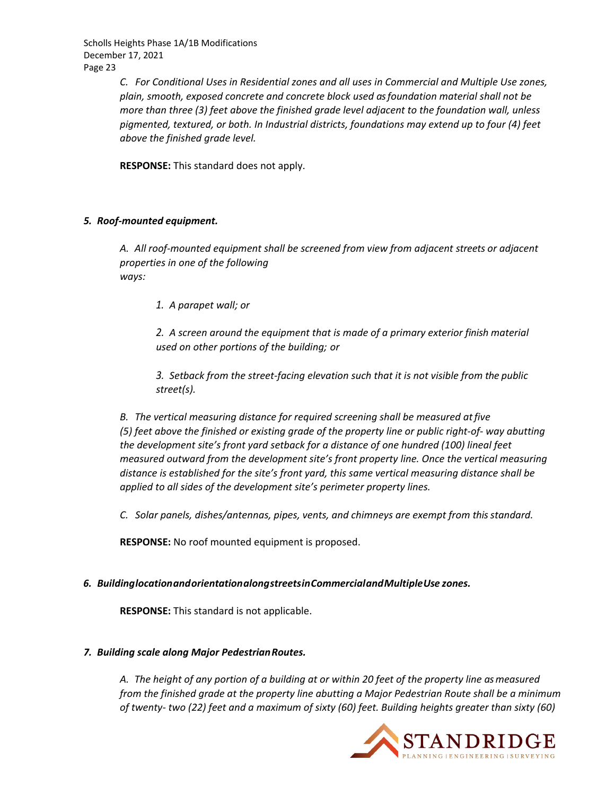> *C. For Conditional Uses in Residential zones and all uses in Commercial and Multiple Use zones, plain, smooth, exposed concrete and concrete block used asfoundation material shall not be more than three (3) feet above the finished grade level adjacent to the foundation wall, unless pigmented, textured, or both. In Industrial districts, foundations may extend up to four (4) feet above the finished grade level.*

**RESPONSE:** This standard does not apply.

#### *5. Roof‐mounted equipment.*

*A. All roof‐mounted equipment shall be screened from view from adjacent streets or adjacent properties in one of the following ways:*

*1. A parapet wall; or*

*2. A screen around the equipment that is made of a primary exterior finish material used on other portions of the building; or*

*3. Setback from the street‐facing elevation such that it is not visible from the public street(s).*

*B. The vertical measuring distance for required screening shall be measured atfive* (5) feet above the finished or existing grade of the property line or public right-of- way abutting *the development site's front yard setback for a distance of one hundred (100) lineal feet measured outward from the development site's front property line. Once the vertical measuring distance is established for the site's front yard, this same vertical measuring distance shall be applied to all sides of the development site's perimeter property lines.*

*C. Solar panels, dishes/antennas, pipes, vents, and chimneys are exempt from thisstandard.*

**RESPONSE:** No roof mounted equipment is proposed.

*6. BuildinglocationandorientationalongstreetsinCommercialandMultipleUse zones.*

**RESPONSE:** This standard is not applicable.

#### *7. Building scale along Major PedestrianRoutes.*

A. The height of any portion of a building at or within 20 feet of the property line as measured *from the finished grade at the property line abutting a Major Pedestrian Route shall be a minimum* of twenty- two (22) feet and a maximum of sixty (60) feet. Building heights greater than sixty (60)

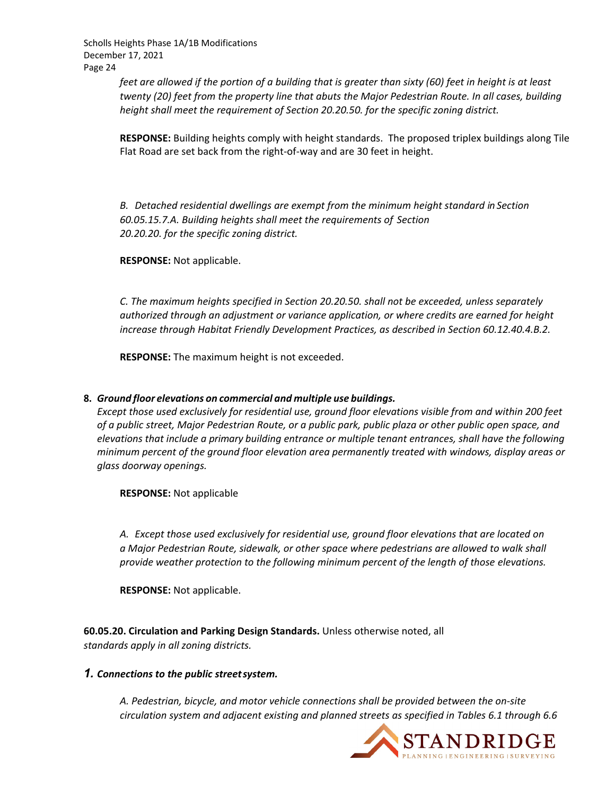> feet are allowed if the portion of a building that is greater than sixty (60) feet in height is at least *twenty (20) feet from the property line that abuts the Major Pedestrian Route. In all cases, building height shall meet the requirement of Section 20.20.50. for the specific zoning district.*

**RESPONSE:** Building heights comply with height standards. The proposed triplex buildings along Tile Flat Road are set back from the right‐of‐way and are 30 feet in height.

*B. Detached residential dwellings are exempt from the minimum height standard in Section 60.05.15.7.A. Building heights shall meet the requirements of Section 20.20.20. for the specific zoning district.*

**RESPONSE:** Not applicable.

*C. The maximum heights specified in Section 20.20.50. shall not be exceeded, unless separately authorized through an adjustment or variance application, or where credits are earned for height increase through Habitat Friendly Development Practices, as described in Section 60.12.40.4.B.2.*

**RESPONSE:** The maximum height is not exceeded.

#### **8.** *Ground floor elevations on commercial and multiple use buildings.*

*Except those used exclusively for residential use, ground floor elevations visible from and within 200 feet* of a public street, Major Pedestrian Route, or a public park, public plaza or other public open space, and *elevations that include a primary building entrance or multiple tenant entrances, shall have the following minimum percent of the ground floor elevation area permanently treated with windows, display areas or glass doorway openings.*

**RESPONSE:** Not applicable

*A. Except those used exclusively for residential use, ground floor elevations that are located on a Major Pedestrian Route, sidewalk, or other space where pedestrians are allowed to walk shall provide weather protection to the following minimum percent of the length of those elevations.*

**RESPONSE:** Not applicable.

**60.05.20. Circulation and Parking Design Standards.** Unless otherwise noted, all *standards apply in all zoning districts.*

#### *1. Connections to the public streetsystem.*

*A. Pedestrian, bicycle, and motor vehicle connections shall be provided between the on‐site circulation system and adjacent existing and planned streets as specified in Tables 6.1 through 6.6*

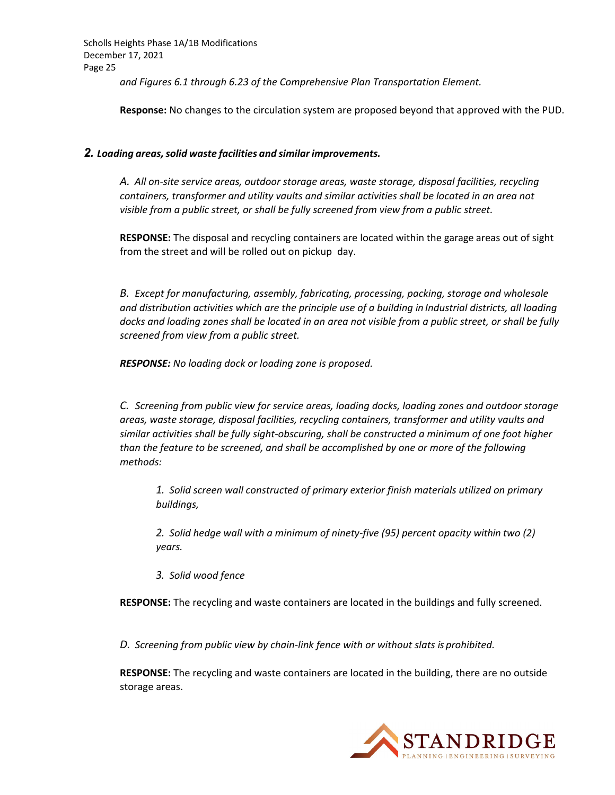*and Figures 6.1 through 6.23 of the Comprehensive Plan Transportation Element.*

**Response:** No changes to the circulation system are proposed beyond that approved with the PUD.

#### *2. Loading areas,solid waste facilities and similarimprovements.*

*A. All on‐site service areas, outdoor storage areas, waste storage, disposal facilities, recycling containers, transformer and utility vaults and similar activities shall be located in an area not visible from a public street, or shall be fully screened from view from a public street.*

**RESPONSE:** The disposal and recycling containers are located within the garage areas out of sight from the street and will be rolled out on pickup day.

*B. Except for manufacturing, assembly, fabricating, processing, packing, storage and wholesale and distribution activities which are the principle use of a building in Industrial districts, all loading* docks and loading zones shall be located in an area not visible from a public street, or shall be fully *screened from view from a public street.*

*RESPONSE: No loading dock or loading zone is proposed.*

*C. Screening from public view for service areas, loading docks, loading zones and outdoor storage areas, waste storage, disposal facilities, recycling containers, transformer and utility vaults and similar activities shall be fully sight‐obscuring, shall be constructed a minimum of one foot higher than the feature to be screened, and shall be accomplished by one or more of the following methods:*

*1. Solid screen wall constructed of primary exterior finish materials utilized on primary buildings,*

*2. Solid hedge wall with a minimum of ninety‐five (95) percent opacity within two (2) years.*

*3. Solid wood fence*

**RESPONSE:** The recycling and waste containers are located in the buildings and fully screened.

*D. Screening from public view by chain‐link fence with or without slats is prohibited.*

**RESPONSE:** The recycling and waste containers are located in the building, there are no outside storage areas.

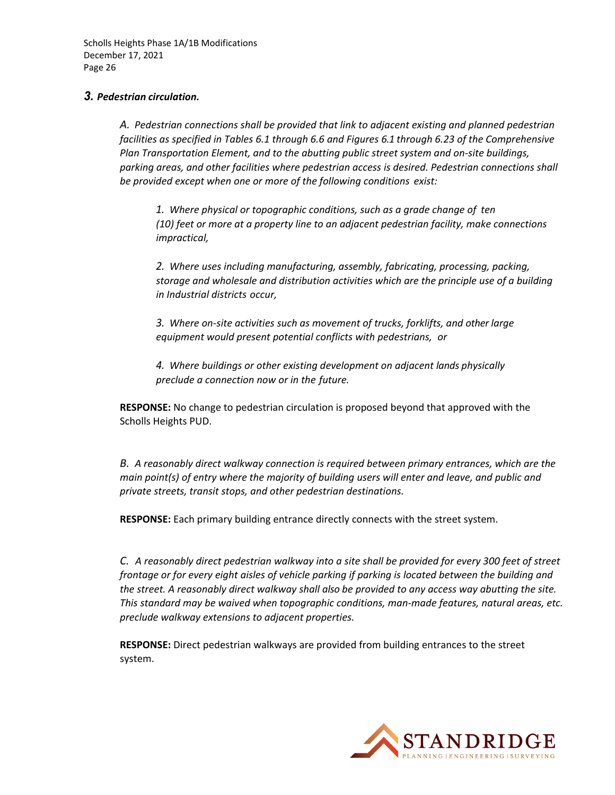#### *3. Pedestrian circulation.*

*A. Pedestrian connections shall be provided that link to adjacent existing and planned pedestrian facilities as specified in Tables 6.1 through 6.6 and Figures 6.1 through 6.23 of the Comprehensive Plan Transportation Element, and to the abutting public street system and on‐site buildings, parking areas, and other facilities where pedestrian access is desired. Pedestrian connections shall be provided except when one or more of the following conditions exist:*

*1. Where physical or topographic conditions, such as a grade change of ten (10) feet or more at a property line to an adjacent pedestrian facility, make connections impractical,* 

*2. Where uses including manufacturing, assembly, fabricating, processing, packing, storage and wholesale and distribution activities which are the principle use of a building in Industrial districts occur,*

*3. Where on‐site activities such as movement of trucks, forklifts, and other large equipment would present potential conflicts with pedestrians, or*

*4. Where buildings or other existing development on adjacent lands physically preclude a connection now or in the future.*

**RESPONSE:** No change to pedestrian circulation is proposed beyond that approved with the Scholls Heights PUD.

*B. A reasonably direct walkway connection is required between primary entrances, which are the main point(s) of entry where the majority of building users will enter and leave, and public and private streets, transit stops, and other pedestrian destinations.*

**RESPONSE:** Each primary building entrance directly connects with the street system.

C. A reasonably direct pedestrian walkway into a site shall be provided for every 300 feet of street *frontage or for every eight aisles of vehicle parking if parking is located between the building and the street. A reasonably direct walkway shall also be provided to any access way abutting the site. This standard may be waived when topographic conditions, man‐made features, natural areas, etc. preclude walkway extensions to adjacent properties.*

**RESPONSE:** Direct pedestrian walkways are provided from building entrances to the street system.

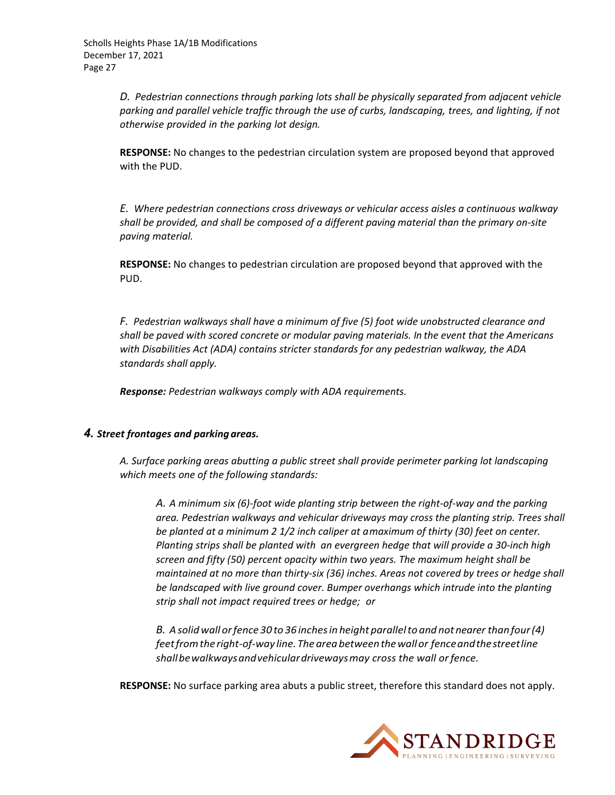*D. Pedestrian connections through parking lots shall be physically separated from adjacent vehicle parking and parallel vehicle traffic through the use of curbs, landscaping, trees, and lighting, if not otherwise provided in the parking lot design.*

**RESPONSE:** No changes to the pedestrian circulation system are proposed beyond that approved with the PUD.

*E. Where pedestrian connections cross driveways or vehicular access aisles a continuous walkway shall be provided, and shall be composed of a different paving material than the primary on‐site paving material.*

**RESPONSE:** No changes to pedestrian circulation are proposed beyond that approved with the PUD.

*F. Pedestrian walkways shall have a minimum of five (5) foot wide unobstructed clearance and shall be paved with scored concrete or modular paving materials. In the event that the Americans with Disabilities Act (ADA) contains stricter standards for any pedestrian walkway, the ADA standards shall apply.*

*Response: Pedestrian walkways comply with ADA requirements.*

## *4. Street frontages and parking areas.*

*A. Surface parking areas abutting a public street shall provide perimeter parking lot landscaping which meets one of the following standards:*

A. A minimum six (6)-foot wide planting strip between the right-of-way and the parking *area. Pedestrian walkways and vehicular driveways may cross the planting strip. Trees shall be planted at a minimum 2 1/2 inch caliper at amaximum of thirty (30) feet on center. Planting strips shall be planted with an evergreen hedge that will provide a 30‐inch high screen and fifty (50) percent opacity within two years. The maximum height shall be maintained at no more than thirty‐six (36) inches. Areas not covered by trees or hedge shall be landscaped with live ground cover. Bumper overhangs which intrude into the planting strip shall not impact required trees or hedge; or*

*B. Asolidwall orfence 30 to 36 inchesin height parallelto and not nearer thanfour(4) feetfromthe right‐of‐way line.Theareabetweenthewallor fenceandthestreetline shallbewalkwaysandvehiculardrivewaysmay cross the wall orfence.*

**RESPONSE:** No surface parking area abuts a public street, therefore this standard does not apply.

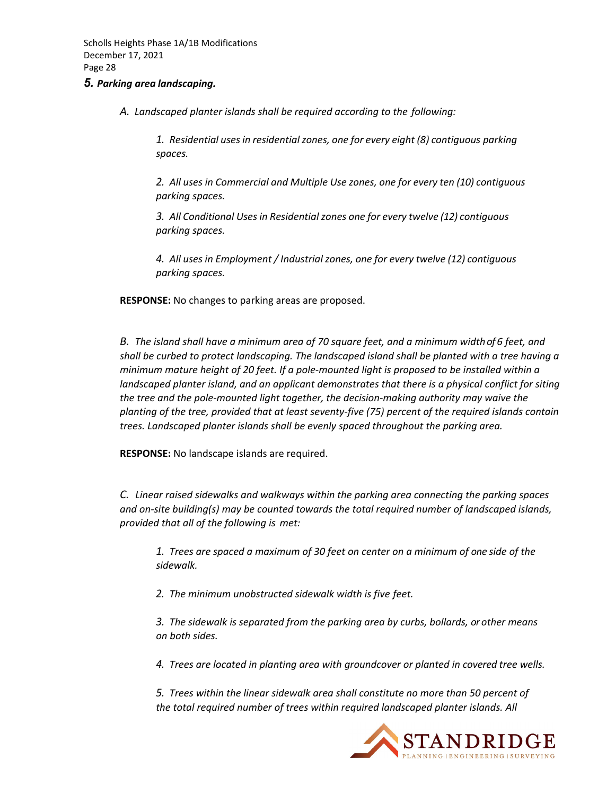#### *5. Parking area landscaping.*

*A. Landscaped planter islands shall be required according to the following:*

*1. Residential usesin residentialzones, one for every eight (8) contiguous parking spaces.*

*2. All uses in Commercial and Multiple Use zones, one for every ten (10) contiguous parking spaces.*

*3. All Conditional Uses in Residential zones one for every twelve (12) contiguous parking spaces.*

*4. All uses in Employment / Industrial zones, one for every twelve (12) contiguous parking spaces.*

**RESPONSE:** No changes to parking areas are proposed.

B. The island shall have a minimum area of 70 square feet, and a minimum width of 6 feet, and *shall be curbed to protect landscaping. The landscaped island shall be planted with a tree having a* minimum mature height of 20 feet. If a pole-mounted light is proposed to be installed within a *landscaped planter island, and an applicant demonstrates that there is a physical conflict for siting the tree and the pole‐mounted light together, the decision‐making authority may waive the* planting of the tree, provided that at least seventy-five (75) percent of the required islands contain *trees. Landscaped planter islands shall be evenly spaced throughout the parking area.*

**RESPONSE:** No landscape islands are required.

*C. Linear raised sidewalks and walkways within the parking area connecting the parking spaces and on‐site building(s) may be counted towards the total required number of landscaped islands, provided that all of the following is met:*

*1. Trees are spaced a maximum of 30 feet on center on a minimum of one side of the sidewalk.*

*2. The minimum unobstructed sidewalk width is five feet.*

*3. The sidewalk is separated from the parking area by curbs, bollards, or other means on both sides.*

*4. Trees are located in planting area with groundcover or planted in covered tree wells.*

*5. Trees within the linear sidewalk area shall constitute no more than 50 percent of the total required number of trees within required landscaped planter islands. All*

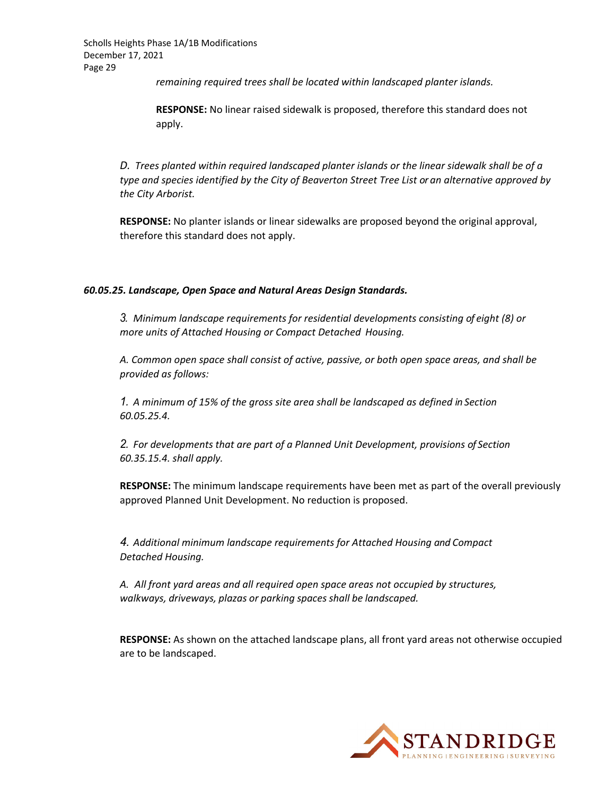*remaining required trees shall be located within landscaped planter islands.*

**RESPONSE:** No linear raised sidewalk is proposed, therefore this standard does not apply.

*D. Trees planted within required landscaped planter islands or the linear sidewalk shall be of a type and species identified by the City of Beaverton Street Tree List or an alternative approved by the City Arborist.*

**RESPONSE:** No planter islands or linear sidewalks are proposed beyond the original approval, therefore this standard does not apply.

#### *60.05.25. Landscape, Open Space and Natural Areas Design Standards.*

*3. Minimum landscape requirements for residential developments consisting of eight (8) or more units of Attached Housing or Compact Detached Housing.*

*A. Common open space shall consist of active, passive, or both open space areas, and shall be provided as follows:*

*1. A minimum of 15% of the gross site area shall be landscaped as defined in Section 60.05.25.4.*

*2. For developments that are part of a Planned Unit Development, provisions of Section 60.35.15.4. shall apply.*

**RESPONSE:** The minimum landscape requirements have been met as part of the overall previously approved Planned Unit Development. No reduction is proposed.

*4. Additional minimum landscape requirements for Attached Housing and Compact Detached Housing.*

*A. All front yard areas and all required open space areas not occupied by structures, walkways, driveways, plazas or parking spaces shall be landscaped.*

**RESPONSE:** As shown on the attached landscape plans, all front yard areas not otherwise occupied are to be landscaped.

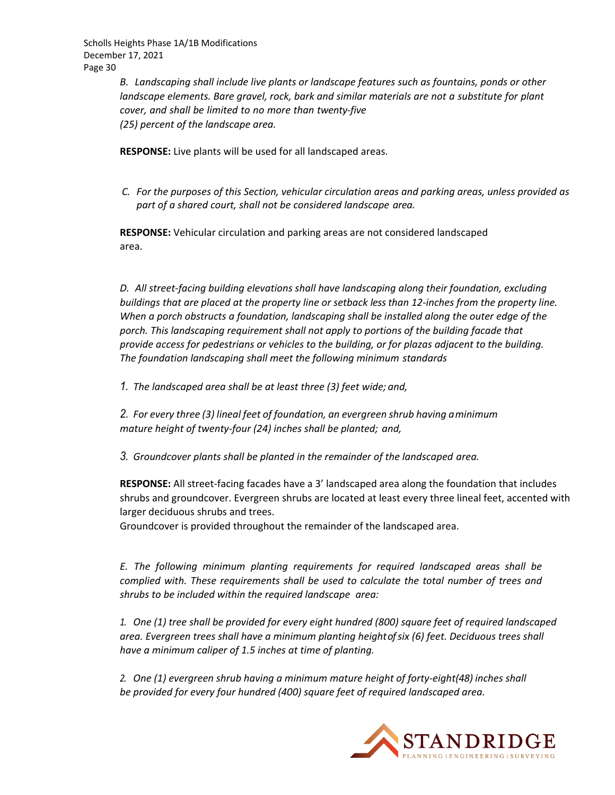> *B. Landscaping shall include live plants or landscape features such as fountains, ponds or other landscape elements. Bare gravel, rock, bark and similar materials are not a substitute for plant cover, and shall be limited to no more than twenty‐five (25) percent of the landscape area.*

**RESPONSE:** Live plants will be used for all landscaped areas.

*C. For the purposes of this Section, vehicular circulation areas and parking areas, unless provided as part of a shared court, shall not be considered landscape area.*

**RESPONSE:** Vehicular circulation and parking areas are not considered landscaped area.

*D. All street‐facing building elevations shall have landscaping along their foundation, excluding* buildings that are placed at the property line or setback less than 12-inches from the property line. *When a porch obstructs a foundation, landscaping shall be installed along the outer edge of the porch. This landscaping requirement shall not apply to portions of the building facade that provide access for pedestrians or vehicles to the building, or for plazas adjacent to the building. The foundation landscaping shall meet the following minimum standards*

*1. The landscaped area shall be at least three (3) feet wide; and,*

*2. For every three (3) lineal feet of foundation, an evergreen shrub having aminimum mature height of twenty‐four (24) inches shall be planted; and,*

*3. Groundcover plants shall be planted in the remainder of the landscaped area.*

**RESPONSE:** All street‐facing facades have a 3' landscaped area along the foundation that includes shrubs and groundcover. Evergreen shrubs are located at least every three lineal feet, accented with larger deciduous shrubs and trees.

Groundcover is provided throughout the remainder of the landscaped area.

*E. The following minimum planting requirements for required landscaped areas shall be complied with. These requirements shall be used to calculate the total number of trees and shrubs to be included within the required landscape area:*

*1. One (1) tree shall be provided for every eight hundred (800) square feet of required landscaped area. Evergreen trees shall have a minimum planting heightofsix (6) feet. Deciduous trees shall have a minimum caliper of 1.5 inches at time of planting.*

*2. One (1) evergreen shrub having a minimum mature height of forty‐eight(48) inches shall be provided for every four hundred (400) square feet of required landscaped area.*

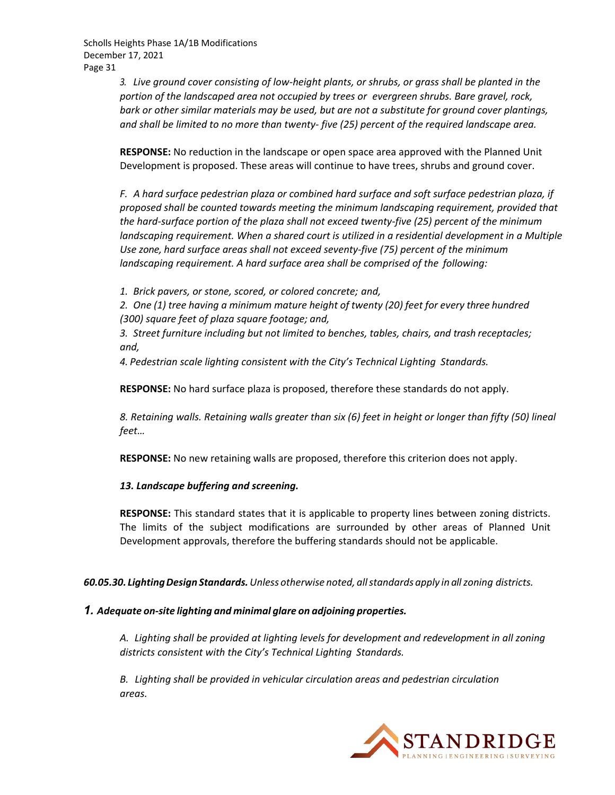> 3. Live ground cover consisting of low-height plants, or shrubs, or grass shall be planted in the *portion of the landscaped area not occupied by trees or evergreen shrubs. Bare gravel, rock, bark or other similar materials may be used, but are not a substitute for ground cover plantings, and shall be limited to no more than twenty‐ five (25) percent of the required landscape area.*

> **RESPONSE:** No reduction in the landscape or open space area approved with the Planned Unit Development is proposed. These areas will continue to have trees, shrubs and ground cover.

*F. A hard surface pedestrian plaza or combined hard surface and soft surface pedestrian plaza, if proposed shall be counted towards meeting the minimum landscaping requirement, provided that* the hard-surface portion of the plaza shall not exceed twenty-five (25) percent of the minimum *landscaping requirement. When a shared court is utilized in a residential development in a Multiple Use zone, hard surface areas shall not exceed seventy‐five (75) percent of the minimum landscaping requirement. A hard surface area shall be comprised of the following:*

*1. Brick pavers, or stone, scored, or colored concrete; and,*

*2. One (1) tree having a minimum mature height of twenty (20) feet for every three hundred (300) square feet of plaza square footage; and,*

*3. Street furniture including but not limited to benches, tables, chairs, and trash receptacles; and,*

*4. Pedestrian scale lighting consistent with the City's Technical Lighting Standards.*

**RESPONSE:** No hard surface plaza is proposed, therefore these standards do not apply.

8. Retaining walls. Retaining walls greater than six (6) feet in height or longer than fifty (50) lineal *feet…*

**RESPONSE:** No new retaining walls are proposed, therefore this criterion does not apply.

#### *13. Landscape buffering and screening.*

**RESPONSE:** This standard states that it is applicable to property lines between zoning districts. The limits of the subject modifications are surrounded by other areas of Planned Unit Development approvals, therefore the buffering standards should not be applicable.

*60.05.30. LightingDesign Standards.Unless otherwise noted, allstandards apply in allzoning districts.*

#### *1. Adequate on‐site lighting and minimal glare on adjoining properties.*

*A. Lighting shall be provided at lighting levels for development and redevelopment in all zoning districts consistent with the City's Technical Lighting Standards.*

*B. Lighting shall be provided in vehicular circulation areas and pedestrian circulation areas.*

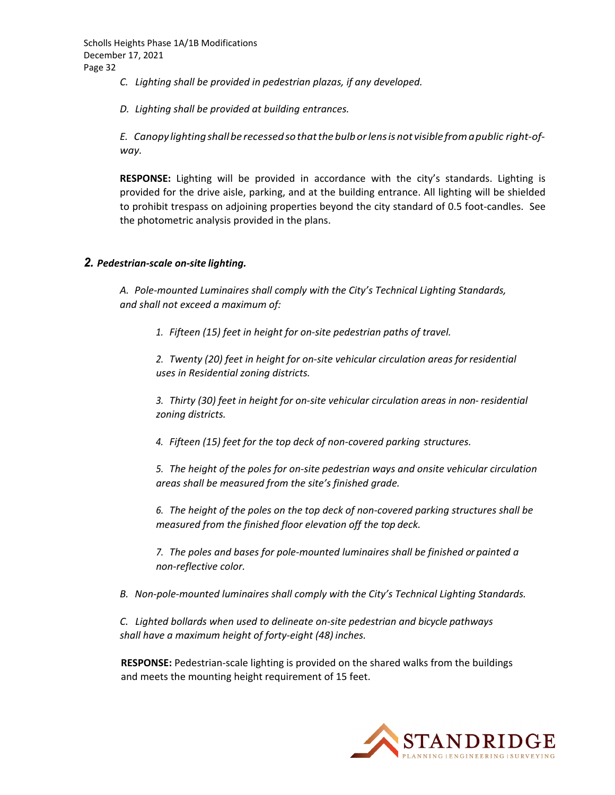*C. Lighting shall be provided in pedestrian plazas, if any developed.*

*D. Lighting shall be provided at building entrances.*

*E. Canopy lightingshall be recessedso thatthe bulborlensis not visible fromapublic right‐of‐ way.*

**RESPONSE:** Lighting will be provided in accordance with the city's standards. Lighting is provided for the drive aisle, parking, and at the building entrance. All lighting will be shielded to prohibit trespass on adjoining properties beyond the city standard of 0.5 foot-candles. See the photometric analysis provided in the plans.

#### *2. Pedestrian‐scale on‐site lighting.*

*A. Pole‐mounted Luminaires shall comply with the City's Technical Lighting Standards, and shall not exceed a maximum of:*

*1. Fifteen (15) feet in height for on‐site pedestrian paths of travel.*

*2. Twenty (20) feet in height for on‐site vehicular circulation areas forresidential uses in Residential zoning districts.*

*3. Thirty (30) feet in height for on‐site vehicular circulation areas in non‐ residential zoning districts.*

*4. Fifteen (15) feet for the top deck of non‐covered parking structures.*

*5. The height of the poles for on‐site pedestrian ways and onsite vehicular circulation areas shall be measured from the site's finished grade.*

*6. The height of the poles on the top deck of non‐covered parking structures shall be measured from the finished floor elevation off the top deck.*

*7. The poles and bases for pole‐mounted luminaires shall be finished or painted a non‐reflective color.*

*B. Non‐pole‐mounted luminaires shall comply with the City's Technical Lighting Standards.*

*C. Lighted bollards when used to delineate on‐site pedestrian and bicycle pathways shall have a maximum height of forty‐eight (48) inches.*

**RESPONSE:** Pedestrian‐scale lighting is provided on the shared walks from the buildings and meets the mounting height requirement of 15 feet.

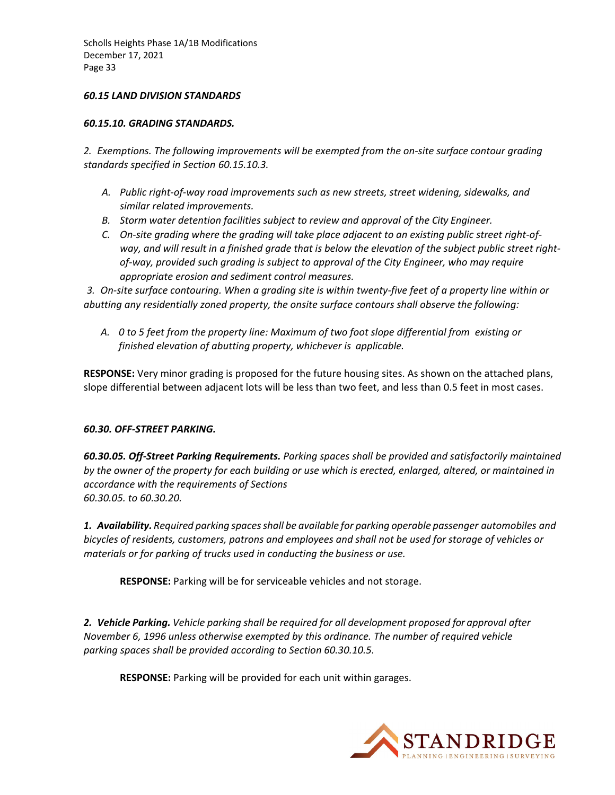#### *60.15 LAND DIVISION STANDARDS*

#### *60.15.10. GRADING STANDARDS.*

*2. Exemptions. The following improvements will be exempted from the on‐site surface contour grading standards specified in Section 60.15.10.3.*

- *A. Public right‐of‐way road improvements such as new streets, street widening, sidewalks, and similar related improvements.*
- *B. Storm water detention facilities subject to review and approval of the City Engineer.*
- C. On-site grading where the grading will take place adjacent to an existing public street right-ofway, and will result in a finished grade that is below the elevation of the subject public street right*of‐way, provided such grading is subject to approval of the City Engineer, who may require appropriate erosion and sediment control measures.*

3. On-site surface contouring. When a grading site is within twenty-five feet of a property line within or *abutting any residentially zoned property, the onsite surface contours shall observe the following:*

*A. 0 to 5 feet from the property line: Maximum of two foot slope differential from existing or finished elevation of abutting property, whichever is applicable.*

**RESPONSE:** Very minor grading is proposed for the future housing sites. As shown on the attached plans, slope differential between adjacent lots will be less than two feet, and less than 0.5 feet in most cases.

#### *60.30. OFF‐STREET PARKING.*

*60.30.05. Off‐Street Parking Requirements. Parking spaces shall be provided and satisfactorily maintained* by the owner of the property for each building or use which is erected, enlarged, altered, or maintained in *accordance with the requirements of Sections 60.30.05. to 60.30.20.*

*1. Availability. Required parking spacesshall be available for parking operable passenger automobiles and bicycles of residents, customers, patrons and employees and shall not be used for storage of vehicles or materials or for parking of trucks used in conducting the business or use.*

**RESPONSE:** Parking will be for serviceable vehicles and not storage.

*2. Vehicle Parking. Vehicle parking shall be required for all development proposed for approval after November 6, 1996 unless otherwise exempted by this ordinance. The number of required vehicle parking spaces shall be provided according to Section 60.30.10.5.*

**RESPONSE:** Parking will be provided for each unit within garages.

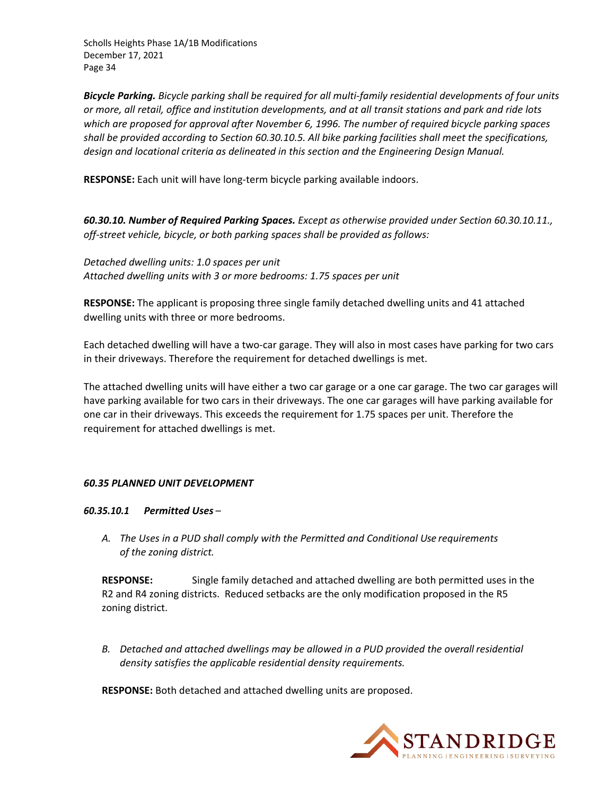Bicycle Parking. Bicycle parking shall be required for all multi-family residential developments of four units or more, all retail, office and institution developments, and at all transit stations and park and ride lots *which are proposed for approval after November 6, 1996. The number of required bicycle parking spaces shall be provided according to Section 60.30.10.5. All bike parking facilities shall meet the specifications, design and locational criteria as delineated in this section and the Engineering Design Manual.*

**RESPONSE:** Each unit will have long‐term bicycle parking available indoors.

*60.30.10. Number of Required Parking Spaces. Except as otherwise provided under Section 60.30.10.11., off‐street vehicle, bicycle, or both parking spaces shall be provided as follows:*

*Detached dwelling units: 1.0 spaces per unit Attached dwelling units with 3 or more bedrooms: 1.75 spaces per unit*

**RESPONSE:** The applicant is proposing three single family detached dwelling units and 41 attached dwelling units with three or more bedrooms.

Each detached dwelling will have a two‐car garage. They will also in most cases have parking for two cars in their driveways. Therefore the requirement for detached dwellings is met.

The attached dwelling units will have either a two car garage or a one car garage. The two car garages will have parking available for two cars in their driveways. The one car garages will have parking available for one car in their driveways. This exceeds the requirement for 1.75 spaces per unit. Therefore the requirement for attached dwellings is met.

#### *60.35 PLANNED UNIT DEVELOPMENT*

#### *60.35.10.1 Permitted Uses* –

*A. The Uses in a PUD shall comply with the Permitted and Conditional Use requirements of the zoning district.*

**RESPONSE:** Single family detached and attached dwelling are both permitted uses in the R2 and R4 zoning districts. Reduced setbacks are the only modification proposed in the R5 zoning district.

*B. Detached and attached dwellings may be allowed in a PUD provided the overall residential density satisfies the applicable residential density requirements.*

**RESPONSE:** Both detached and attached dwelling units are proposed.

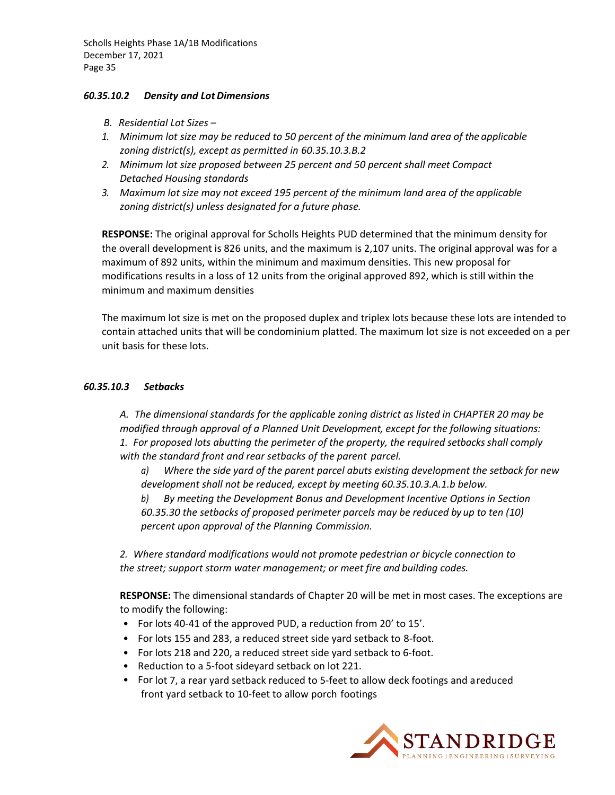#### *60.35.10.2 Density and LotDimensions*

- *B. Residential Lot Sizes –*
- *1. Minimum lot size may be reduced to 50 percent of the minimum land area of the applicable zoning district(s), except as permitted in 60.35.10.3.B.2*
- *2. Minimum lot size proposed between 25 percent and 50 percent shall meet Compact Detached Housing standards*
- *3. Maximum lot size may not exceed 195 percent of the minimum land area of the applicable zoning district(s) unless designated for a future phase.*

**RESPONSE:** The original approval for Scholls Heights PUD determined that the minimum density for the overall development is 826 units, and the maximum is 2,107 units. The original approval was for a maximum of 892 units, within the minimum and maximum densities. This new proposal for modifications results in a loss of 12 units from the original approved 892, which is still within the minimum and maximum densities

The maximum lot size is met on the proposed duplex and triplex lots because these lots are intended to contain attached units that will be condominium platted. The maximum lot size is not exceeded on a per unit basis for these lots.

#### *60.35.10.3 Setbacks*

*A. The dimensional standards for the applicable zoning district as listed in CHAPTER 20 may be modified through approval of a Planned Unit Development, except for the following situations: 1. For proposed lots abutting the perimeter of the property, the required setbacks shall comply with the standard front and rear setbacks of the parent parcel.*

*a) Where the side yard of the parent parcel abuts existing development the setback for new development shall not be reduced, except by meeting 60.35.10.3.A.1.b below.*

*b) By meeting the Development Bonus and Development Incentive Options in Section 60.35.30 the setbacks of proposed perimeter parcels may be reduced by up to ten (10) percent upon approval of the Planning Commission.*

*2. Where standard modifications would not promote pedestrian or bicycle connection to the street; support storm water management; or meet fire and building codes.*

**RESPONSE:** The dimensional standards of Chapter 20 will be met in most cases. The exceptions are to modify the following:

- For lots 40‐41 of the approved PUD, a reduction from 20' to 15'.
- For lots 155 and 283, a reduced street side yard setback to 8‐foot.
- For lots 218 and 220, a reduced street side yard setback to 6‐foot.
- Reduction to a 5‐foot sideyard setback on lot 221.
- For lot 7, a rear yard setback reduced to 5‐feet to allow deck footings and areduced front yard setback to 10‐feet to allow porch footings

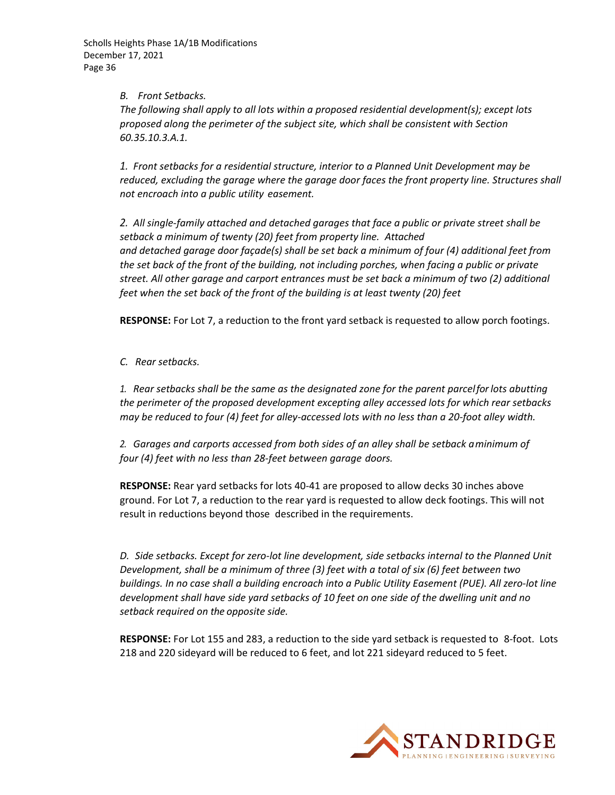#### *B. Front Setbacks.*

*The following shall apply to all lots within a proposed residential development(s); except lots proposed along the perimeter of the subject site, which shall be consistent with Section 60.35.10.3.A.1.*

*1. Front setbacks for a residential structure, interior to a Planned Unit Development may be reduced, excluding the garage where the garage door faces the front property line. Structures shall not encroach into a public utility easement.*

*2. All single‐family attached and detached garages that face a public or private street shall be setback a minimum of twenty (20) feet from property line. Attached and detached garage door façade(s) shall be set back a minimum of four (4) additional feet from the set back of the front of the building, not including porches, when facing a public or private street. All other garage and carport entrances must be set back a minimum of two (2) additional feet when the set back of the front of the building is at least twenty (20) feet*

**RESPONSE:** For Lot 7, a reduction to the front yard setback is requested to allow porch footings.

*C. Rear setbacks.*

*1. Rear setbacks shall be the same as the designated zone for the parent parcelforlots abutting the perimeter of the proposed development excepting alley accessed lots for which rear setbacks* may be reduced to four (4) feet for alley-accessed lots with no less than a 20-foot alley width.

*2. Garages and carports accessed from both sides of an alley shall be setback aminimum of four (4) feet with no less than 28‐feet between garage doors.*

**RESPONSE:** Rear yard setbacks for lots 40‐41 are proposed to allow decks 30 inches above ground. For Lot 7, a reduction to the rear yard is requested to allow deck footings. This will not result in reductions beyond those described in the requirements.

*D. Side setbacks. Except for zero‐lot line development, side setbacks internal to the Planned Unit Development, shall be a minimum of three (3) feet with a total of six (6) feet between two* buildings. In no case shall a building encroach into a Public Utility Easement (PUE). All zero-lot line *development shall have side yard setbacks of 10 feet on one side of the dwelling unit and no setback required on the opposite side.*

**RESPONSE:** For Lot 155 and 283, a reduction to the side yard setback is requested to 8‐foot. Lots 218 and 220 sideyard will be reduced to 6 feet, and lot 221 sideyard reduced to 5 feet.